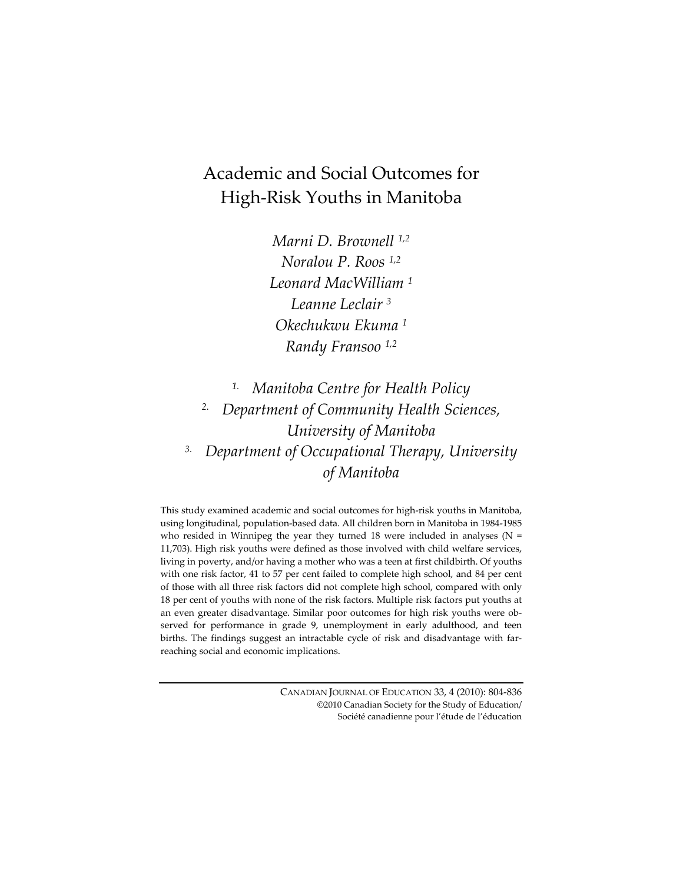# Academic and Social Outcomes for High‐Risk Youths in Manitoba

*Marni D. Brownell 1,2 Noralou P. Roos 1,2 Leonard MacWilliam <sup>1</sup> Leanne Leclair <sup>3</sup> Okechukwu Ekuma <sup>1</sup> Randy Fransoo 1,2*

*1. Manitoba Centre for Health Policy 2. Department of Community Health Sciences, University of Manitoba 3. Department of Occupational Therapy, University of Manitoba*

This study examined academic and social outcomes for high-risk youths in Manitoba, using longitudinal, population‐based data. All children born in Manitoba in 1984‐1985 who resided in Winnipeg the year they turned 18 were included in analyses ( $N =$ 11,703). High risk youths were defined as those involved with child welfare services, living in poverty, and/or having a mother who was a teen at first childbirth. Of youths with one risk factor, 41 to 57 per cent failed to complete high school, and 84 per cent of those with all three risk factors did not complete high school, compared with only 18 per cent of youths with none of the risk factors. Multiple risk factors put youths at an even greater disadvantage. Similar poor outcomes for high risk youths were observed for performance in grade 9, unemployment in early adulthood, and teen births. The findings suggest an intractable cycle of risk and disadvantage with far‐ reaching social and economic implications.

> CANADIAN JOURNAL OF EDUCATION 33, 4 (2010): 804‐836 ©2010 Canadian Society for the Study of Education/ Société canadienne pour l'étude de l'éducation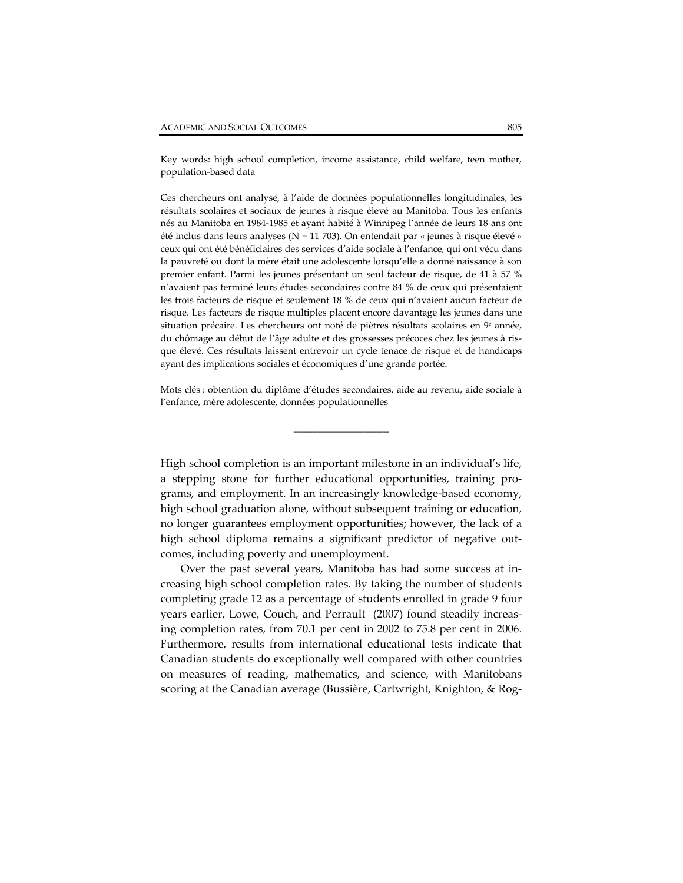Key words: high school completion, income assistance, child welfare, teen mother, population‐based data

Ces chercheurs ont analysé, à l'aide de données populationnelles longitudinales, les résultats scolaires et sociaux de jeunes à risque élevé au Manitoba. Tous les enfants nés au Manitoba en 1984‐1985 et ayant habité à Winnipeg l'année de leurs 18 ans ont été inclus dans leurs analyses ( $N = 11703$ ). On entendait par « jeunes à risque élevé » ceux qui ont été bénéficiaires des services d'aide sociale à l'enfance, qui ont vécu dans la pauvreté ou dont la mère était une adolescente lorsqu'elle a donné naissance à son premier enfant. Parmi les jeunes présentant un seul facteur de risque, de 41 à 57 % n'avaient pas terminé leurs études secondaires contre 84 % de ceux qui présentaient les trois facteurs de risque et seulement 18 % de ceux qui n'avaient aucun facteur de risque. Les facteurs de risque multiples placent encore davantage les jeunes dans une situation précaire. Les chercheurs ont noté de piètres résultats scolaires en 9<sup>e</sup> année, du chômage au début de l'âge adulte et des grossesses précoces chez les jeunes à ris‐ que élevé. Ces résultats laissent entrevoir un cycle tenace de risque et de handicaps ayant des implications sociales et économiques d'une grande portée.

Mots clés : obtention du diplôme d'études secondaires, aide au revenu, aide sociale à l'enfance, mère adolescente, données populationnelles

\_\_\_\_\_\_\_\_\_\_\_\_\_\_\_\_\_\_\_\_

High school completion is an important milestone in an individual's life, a stepping stone for further educational opportunities, training pro‐ grams, and employment. In an increasingly knowledge‐based economy, high school graduation alone, without subsequent training or education, no longer guarantees employment opportunities; however, the lack of a high school diploma remains a significant predictor of negative outcomes, including poverty and unemployment.

Over the past several years, Manitoba has had some success at in‐ creasing high school completion rates. By taking the number of students completing grade 12 as a percentage of students enrolled in grade 9 four years earlier, Lowe, Couch, and Perrault (2007) found steadily increas‐ ing completion rates, from 70.1 per cent in 2002 to 75.8 per cent in 2006. Furthermore, results from international educational tests indicate that Canadian students do exceptionally well compared with other countries on measures of reading, mathematics, and science, with Manitobans scoring at the Canadian average (Bussière, Cartwright, Knighton, & Rog‐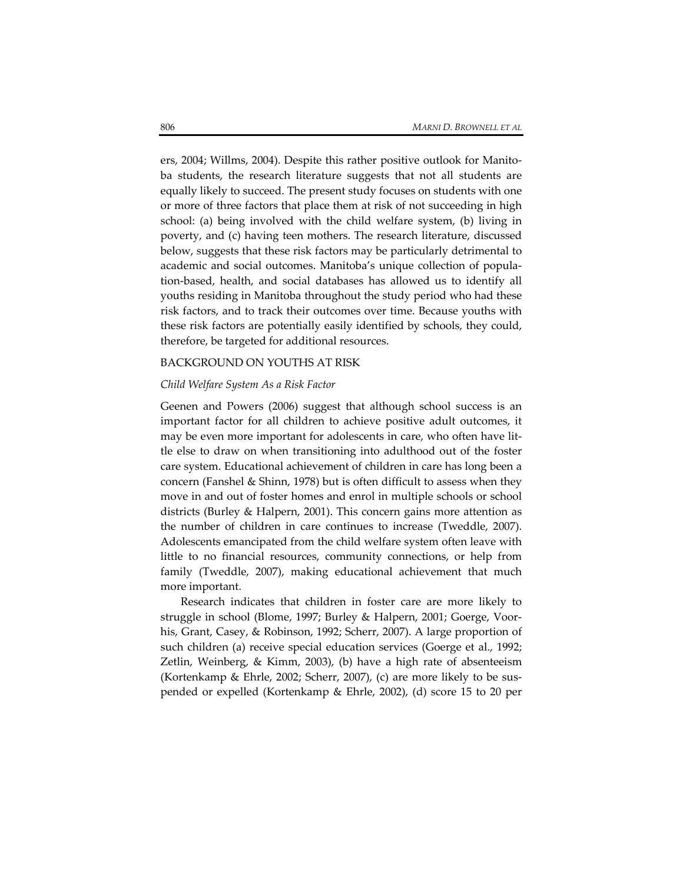ers, 2004; Willms, 2004). Despite this rather positive outlook for Manito‐ ba students, the research literature suggests that not all students are equally likely to succeed. The present study focuses on students with one or more of three factors that place them at risk of not succeeding in high school: (a) being involved with the child welfare system, (b) living in poverty, and (c) having teen mothers. The research literature, discussed below, suggests that these risk factors may be particularly detrimental to academic and social outcomes. Manitoba's unique collection of popula‐ tion‐based, health, and social databases has allowed us to identify all youths residing in Manitoba throughout the study period who had these risk factors, and to track their outcomes over time. Because youths with these risk factors are potentially easily identified by schools, they could, therefore, be targeted for additional resources.

#### BACKGROUND ON YOUTHS AT RISK

#### *Child Welfare System As a Risk Factor*

Geenen and Powers (2006) suggest that although school success is an important factor for all children to achieve positive adult outcomes, it may be even more important for adolescents in care, who often have little else to draw on when transitioning into adulthood out of the foster care system. Educational achievement of children in care has long been a concern (Fanshel & Shinn, 1978) but is often difficult to assess when they move in and out of foster homes and enrol in multiple schools or school districts (Burley & Halpern, 2001). This concern gains more attention as the number of children in care continues to increase (Tweddle, 2007). Adolescents emancipated from the child welfare system often leave with little to no financial resources, community connections, or help from family (Tweddle, 2007), making educational achievement that much more important.

Research indicates that children in foster care are more likely to struggle in school (Blome, 1997; Burley & Halpern, 2001; Goerge, Voor‐ his, Grant, Casey, & Robinson, 1992; Scherr, 2007). A large proportion of such children (a) receive special education services (Goerge et al., 1992; Zetlin, Weinberg, & Kimm, 2003), (b) have a high rate of absenteeism (Kortenkamp & Ehrle, 2002; Scherr, 2007), (c) are more likely to be sus‐ pended or expelled (Kortenkamp & Ehrle, 2002), (d) score 15 to 20 per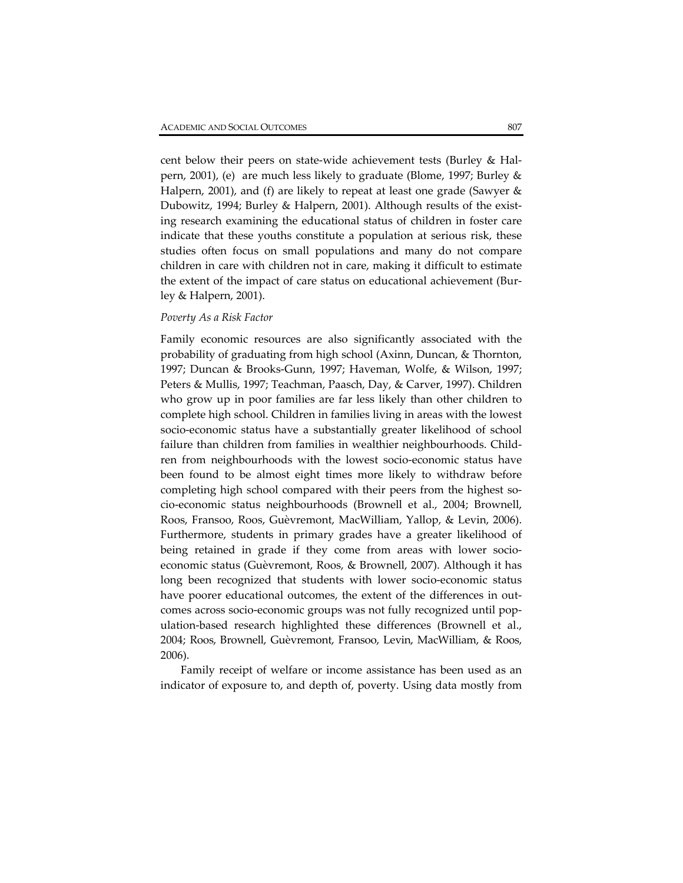cent below their peers on state‐wide achievement tests (Burley & Hal‐ pern, 2001), (e) are much less likely to graduate (Blome, 1997; Burley & Halpern, 2001), and (f) are likely to repeat at least one grade (Sawyer & Dubowitz, 1994; Burley & Halpern, 2001). Although results of the exist‐ ing research examining the educational status of children in foster care indicate that these youths constitute a population at serious risk, these studies often focus on small populations and many do not compare children in care with children not in care, making it difficult to estimate the extent of the impact of care status on educational achievement (Bur‐ ley & Halpern, 2001).

#### *Poverty As a Risk Factor*

Family economic resources are also significantly associated with the probability of graduating from high school (Axinn, Duncan, & Thornton, 1997; Duncan & Brooks‐Gunn, 1997; Haveman, Wolfe, & Wilson, 1997; Peters & Mullis, 1997; Teachman, Paasch, Day, & Carver, 1997). Children who grow up in poor families are far less likely than other children to complete high school. Children in families living in areas with the lowest socio‐economic status have a substantially greater likelihood of school failure than children from families in wealthier neighbourhoods. Child‐ ren from neighbourhoods with the lowest socio‐economic status have been found to be almost eight times more likely to withdraw before completing high school compared with their peers from the highest socio‐economic status neighbourhoods (Brownell et al., 2004; Brownell, Roos, Fransoo, Roos, Guèvremont, MacWilliam, Yallop, & Levin, 2006). Furthermore, students in primary grades have a greater likelihood of being retained in grade if they come from areas with lower socioeconomic status (Guèvremont, Roos, & Brownell, 2007). Although it has long been recognized that students with lower socio‐economic status have poorer educational outcomes, the extent of the differences in outcomes across socio‐economic groups was not fully recognized until pop‐ ulation‐based research highlighted these differences (Brownell et al., 2004; Roos, Brownell, Guèvremont, Fransoo, Levin, MacWilliam, & Roos, 2006).

Family receipt of welfare or income assistance has been used as an indicator of exposure to, and depth of, poverty. Using data mostly from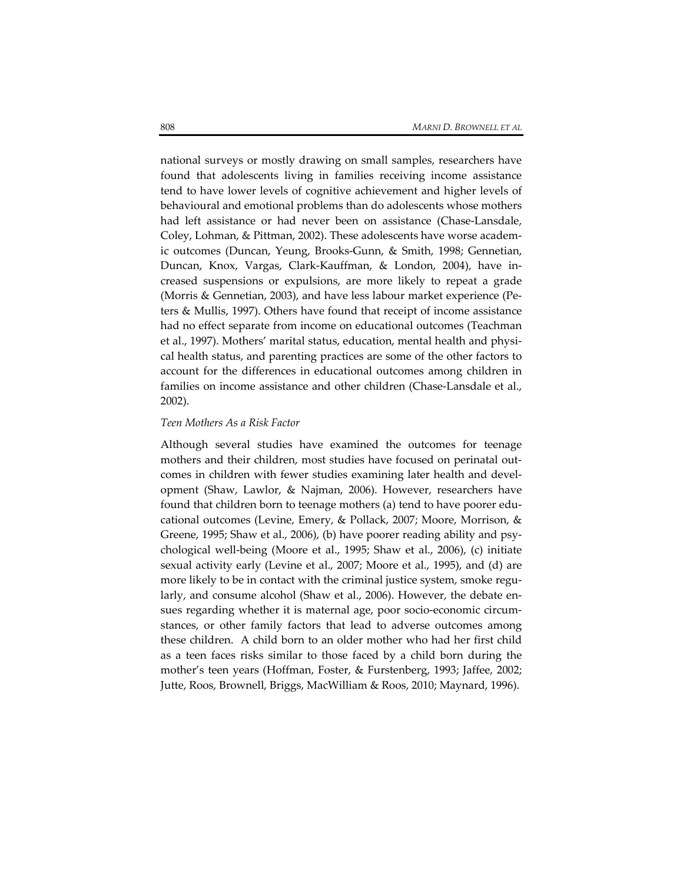national surveys or mostly drawing on small samples, researchers have found that adolescents living in families receiving income assistance tend to have lower levels of cognitive achievement and higher levels of behavioural and emotional problems than do adolescents whose mothers had left assistance or had never been on assistance (Chase-Lansdale, Coley, Lohman, & Pittman, 2002). These adolescents have worse academ‐ ic outcomes (Duncan, Yeung, Brooks‐Gunn, & Smith, 1998; Gennetian, Duncan, Knox, Vargas, Clark‐Kauffman, & London, 2004), have in‐ creased suspensions or expulsions, are more likely to repeat a grade (Morris & Gennetian, 2003), and have less labour market experience (Pe‐ ters & Mullis, 1997). Others have found that receipt of income assistance had no effect separate from income on educational outcomes (Teachman et al., 1997). Mothers' marital status, education, mental health and physical health status, and parenting practices are some of the other factors to account for the differences in educational outcomes among children in families on income assistance and other children (Chase-Lansdale et al., 2002).

#### *Teen Mothers As a Risk Factor*

Although several studies have examined the outcomes for teenage mothers and their children, most studies have focused on perinatal outcomes in children with fewer studies examining later health and development (Shaw, Lawlor, & Najman, 2006). However, researchers have found that children born to teenage mothers (a) tend to have poorer edu‐ cational outcomes (Levine, Emery, & Pollack, 2007; Moore, Morrison, & Greene, 1995; Shaw et al., 2006), (b) have poorer reading ability and psy‐ chological well‐being (Moore et al., 1995; Shaw et al., 2006), (c) initiate sexual activity early (Levine et al., 2007; Moore et al., 1995), and (d) are more likely to be in contact with the criminal justice system, smoke regularly, and consume alcohol (Shaw et al., 2006). However, the debate ensues regarding whether it is maternal age, poor socio-economic circumstances, or other family factors that lead to adverse outcomes among these children. A child born to an older mother who had her first child as a teen faces risks similar to those faced by a child born during the mother's teen years (Hoffman, Foster, & Furstenberg, 1993; Jaffee, 2002; Jutte, Roos, Brownell, Briggs, MacWilliam & Roos, 2010; Maynard, 1996).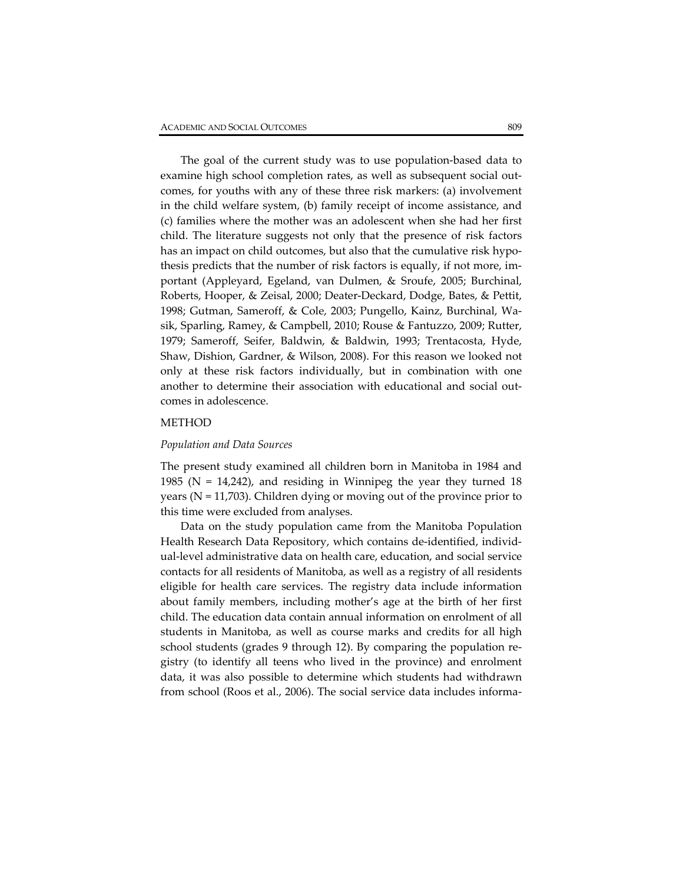The goal of the current study was to use population‐based data to examine high school completion rates, as well as subsequent social outcomes, for youths with any of these three risk markers: (a) involvement in the child welfare system, (b) family receipt of income assistance, and (c) families where the mother was an adolescent when she had her first child. The literature suggests not only that the presence of risk factors has an impact on child outcomes, but also that the cumulative risk hypothesis predicts that the number of risk factors is equally, if not more, im‐ portant (Appleyard, Egeland, van Dulmen, & Sroufe, 2005; Burchinal, Roberts, Hooper, & Zeisal, 2000; Deater‐Deckard, Dodge, Bates, & Pettit, 1998; Gutman, Sameroff, & Cole, 2003; Pungello, Kainz, Burchinal, Wa‐ sik, Sparling, Ramey, & Campbell, 2010; Rouse & Fantuzzo, 2009; Rutter, 1979; Sameroff, Seifer, Baldwin, & Baldwin, 1993; Trentacosta, Hyde, Shaw, Dishion, Gardner, & Wilson, 2008). For this reason we looked not only at these risk factors individually, but in combination with one another to determine their association with educational and social out‐ comes in adolescence.

# METHOD

#### *Population and Data Sources*

The present study examined all children born in Manitoba in 1984 and 1985 ( $N = 14,242$ ), and residing in Winnipeg the year they turned 18 years ( $N = 11,703$ ). Children dying or moving out of the province prior to this time were excluded from analyses.

Data on the study population came from the Manitoba Population Health Research Data Repository, which contains de‐identified, individ‐ ual‐level administrative data on health care, education, and social service contacts for all residents of Manitoba, as well as a registry of all residents eligible for health care services. The registry data include information about family members, including mother's age at the birth of her first child. The education data contain annual information on enrolment of all students in Manitoba, as well as course marks and credits for all high school students (grades 9 through 12). By comparing the population re‐ gistry (to identify all teens who lived in the province) and enrolment data, it was also possible to determine which students had withdrawn from school (Roos et al., 2006). The social service data includes informa-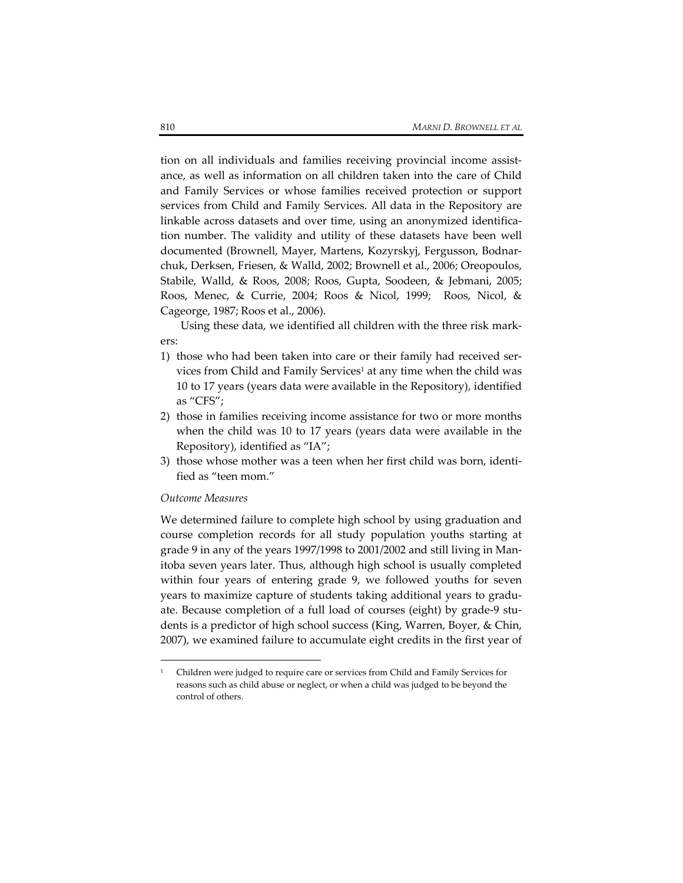tion on all individuals and families receiving provincial income assistance, as well as information on all children taken into the care of Child and Family Services or whose families received protection or support services from Child and Family Services. All data in the Repository are linkable across datasets and over time, using an anonymized identifica‐ tion number. The validity and utility of these datasets have been well documented (Brownell, Mayer, Martens, Kozyrskyj, Fergusson, Bodnar‐ chuk, Derksen, Friesen, & Walld, 2002; Brownell et al., 2006; Oreopoulos, Stabile, Walld, & Roos, 2008; Roos, Gupta, Soodeen, & Jebmani, 2005; Roos, Menec, & Currie, 2004; Roos & Nicol, 1999; Roos, Nicol, & Cageorge, 1987; Roos et al., 2006).

Using these data, we identified all children with the three risk mark‐ ers:

- 1) those who had been taken into care or their family had received services from Child and Family Services<sup>1</sup> at any time when the child was 10 to 17 years (years data were available in the Repository), identified as "CFS";
- 2) those in families receiving income assistance for two or more months when the child was 10 to 17 years (years data were available in the Repository), identified as "IA";
- 3) those whose mother was a teen when her first child was born, identi‐ fied as "teen mom."

#### *Outcome Measures*

 $\overline{a}$ 

We determined failure to complete high school by using graduation and course completion records for all study population youths starting at grade 9 in any of the years 1997/1998 to 2001/2002 and still living in Man‐ itoba seven years later. Thus, although high school is usually completed within four years of entering grade 9, we followed youths for seven years to maximize capture of students taking additional years to gradu‐ ate. Because completion of a full load of courses (eight) by grade‐9 stu‐ dents is a predictor of high school success (King, Warren, Boyer, & Chin, 2007), we examined failure to accumulate eight credits in the first year of

<sup>&</sup>lt;sup>1</sup> Children were judged to require care or services from Child and Family Services for reasons such as child abuse or neglect, or when a child was judged to be beyond the control of others.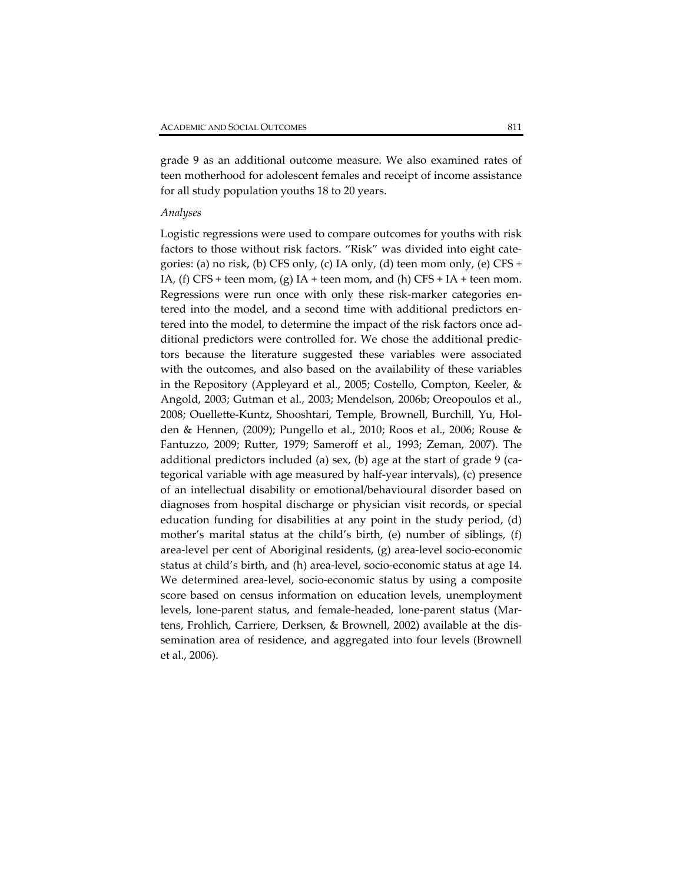grade 9 as an additional outcome measure. We also examined rates of teen motherhood for adolescent females and receipt of income assistance for all study population youths 18 to 20 years.

#### *Analyses*

Logistic regressions were used to compare outcomes for youths with risk factors to those without risk factors. "Risk" was divided into eight cate‐ gories: (a) no risk, (b) CFS only, (c) IA only, (d) teen mom only, (e) CFS + IA, (f) CFS + teen mom, (g) IA + teen mom, and (h) CFS + IA + teen mom. Regressions were run once with only these risk-marker categories entered into the model, and a second time with additional predictors entered into the model, to determine the impact of the risk factors once additional predictors were controlled for. We chose the additional predic‐ tors because the literature suggested these variables were associated with the outcomes, and also based on the availability of these variables in the Repository (Appleyard et al., 2005; Costello, Compton, Keeler, & Angold, 2003; Gutman et al., 2003; Mendelson, 2006b; Oreopoulos et al., 2008; Ouellette‐Kuntz, Shooshtari, Temple, Brownell, Burchill, Yu, Hol‐ den & Hennen, (2009); Pungello et al., 2010; Roos et al., 2006; Rouse & Fantuzzo, 2009; Rutter, 1979; Sameroff et al., 1993; Zeman, 2007). The additional predictors included (a) sex, (b) age at the start of grade 9 (categorical variable with age measured by half‐year intervals), (c) presence of an intellectual disability or emotional/behavioural disorder based on diagnoses from hospital discharge or physician visit records, or special education funding for disabilities at any point in the study period, (d) mother's marital status at the child's birth, (e) number of siblings, (f) area‐level per cent of Aboriginal residents, (g) area‐level socio‐economic status at child's birth, and (h) area‐level, socio‐economic status at age 14. We determined area‐level, socio‐economic status by using a composite score based on census information on education levels, unemployment levels, lone‐parent status, and female‐headed, lone‐parent status (Mar‐ tens, Frohlich, Carriere, Derksen, & Brownell, 2002) available at the dis‐ semination area of residence, and aggregated into four levels (Brownell et al., 2006).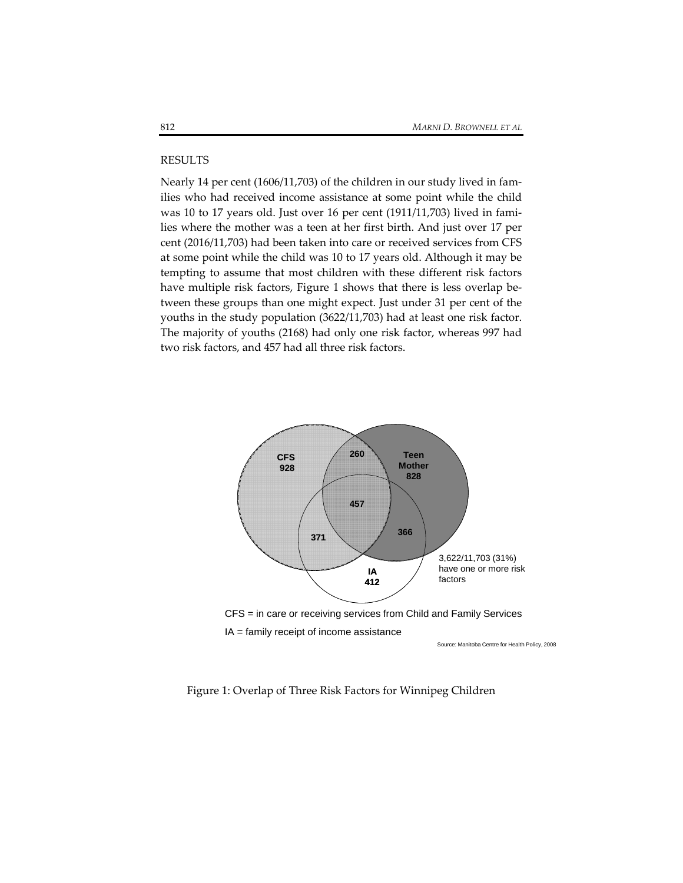## RESULTS

Nearly 14 per cent (1606/11,703) of the children in our study lived in fam‐ ilies who had received income assistance at some point while the child was 10 to 17 years old. Just over 16 per cent (1911/11,703) lived in fami‐ lies where the mother was a teen at her first birth. And just over 17 per cent (2016/11,703) had been taken into care or received services from CFS at some point while the child was 10 to 17 years old. Although it may be tempting to assume that most children with these different risk factors have multiple risk factors, Figure 1 shows that there is less overlap between these groups than one might expect. Just under 31 per cent of the youths in the study population (3622/11,703) had at least one risk factor. The majority of youths (2168) had only one risk factor, whereas 997 had two risk factors, and 457 had all three risk factors.



Figure 1: Overlap of Three Risk Factors for Winnipeg Children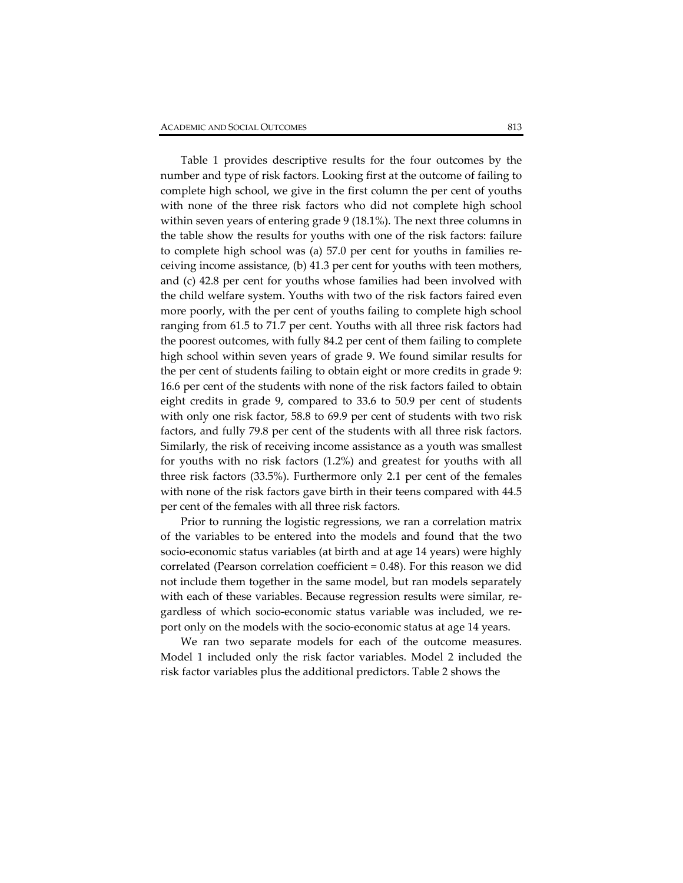Table 1 provides descriptive results for the four outcomes by the number and type of risk factors. Looking first at the outcome of failing to complete high school, we give in the first column the per cent of youths with none of the three risk factors who did not complete high school within seven years of entering grade 9 (18.1%). The next three columns in the table show the results for youths with one of the risk factors: failure to complete high school was (a) 57.0 per cent for youths in families receiving income assistance, (b) 41.3 per cent for youths with teen mothers, and (c) 42.8 per cent for youths whose families had been involved with the child welfare system. Youths with two of the risk factors faired even more poorly, with the per cent of youths failing to complete high school ranging from 61.5 to 71.7 per cent. Youths with all three risk factors had the poorest outcomes, with fully 84.2 per cent of them failing to complete high school within seven years of grade 9. We found similar results for the per cent of students failing to obtain eight or more credits in grade 9: 16.6 per cent of the students with none of the risk factors failed to obtain eight credits in grade 9, compared to 33.6 to 50.9 per cent of students with only one risk factor, 58.8 to 69.9 per cent of students with two risk factors, and fully 79.8 per cent of the students with all three risk factors. Similarly, the risk of receiving income assistance as a youth was smallest for youths with no risk factors (1.2%) and greatest for youths with all three risk factors (33.5%). Furthermore only 2.1 per cent of the females with none of the risk factors gave birth in their teens compared with 44.5 per cent of the females with all three risk factors.

Prior to running the logistic regressions, we ran a correlation matrix of the variables to be entered into the models and found that the two socio‐economic status variables (at birth and at age 14 years) were highly correlated (Pearson correlation coefficient = 0.48). For this reason we did not include them together in the same model, but ran models separately with each of these variables. Because regression results were similar, regardless of which socio‐economic status variable was included, we re‐ port only on the models with the socio‐economic status at age 14 years.

We ran two separate models for each of the outcome measures. Model 1 included only the risk factor variables. Model 2 included the risk factor variables plus the additional predictors. Table 2 shows the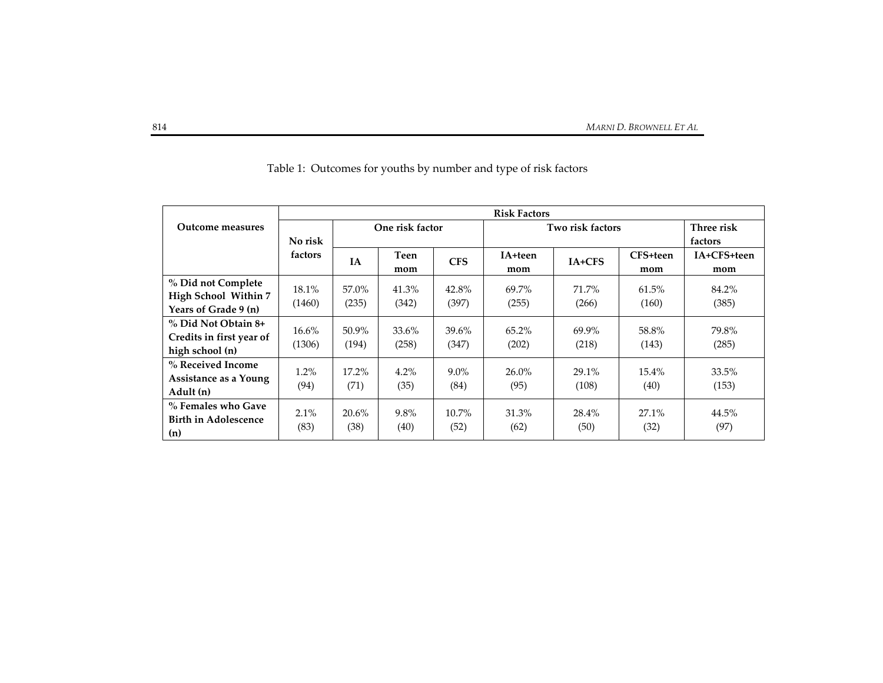|                             | <b>Risk Factors</b> |                 |         |            |          |                  |          |             |  |
|-----------------------------|---------------------|-----------------|---------|------------|----------|------------------|----------|-------------|--|
| Outcome measures            |                     | One risk factor |         |            |          | Two risk factors |          |             |  |
|                             | No risk             |                 |         |            |          | factors          |          |             |  |
|                             | factors             | <b>IA</b>       | Teen    | <b>CFS</b> | IA+teen  | $IA+CFS$         | CFS+teen | IA+CFS+teen |  |
|                             |                     |                 | mom     |            | mom      |                  | mom      | mom         |  |
| % Did not Complete          |                     | 57.0%           |         |            | 69.7%    | 71.7%            |          |             |  |
| High School Within 7        | 18.1%               |                 | 41.3%   | 42.8%      |          |                  | 61.5%    | 84.2%       |  |
| Years of Grade 9 (n)        | (1460)              | (235)           | (342)   | (397)      | (255)    | (266)            | (160)    | (385)       |  |
| % Did Not Obtain 8+         |                     | 50.9%           | 33.6%   | 39.6%      | $65.2\%$ | 69.9%            |          | 79.8%       |  |
| Credits in first year of    | 16.6%               |                 |         |            |          |                  | 58.8%    |             |  |
| high school (n)             | (1306)              | (194)           | (258)   | (347)      | (202)    | (218)            | (143)    | (285)       |  |
| % Received Income           |                     |                 |         |            | $26.0\%$ |                  |          |             |  |
| Assistance as a Young       | 1.2%                | 17.2%           | $4.2\%$ | $9.0\%$    |          | 29.1%            | 15.4%    | 33.5%       |  |
| Adult (n)                   | (94)                | (71)            | (35)    | (84)       | (95)     | (108)            | (40)     | (153)       |  |
| % Females who Gave          |                     |                 |         |            |          |                  |          |             |  |
| <b>Birth in Adolescence</b> | $2.1\%$             | 20.6%           | 9.8%    | $10.7\%$   | 31.3%    | 28.4%            | 27.1%    | 44.5%       |  |
| (n)                         | (83)                | (38)            | (40)    | (52)       | (62)     | (50)             | (32)     | (97)        |  |

Table 1: Outcomes for youths by number and type of risk factors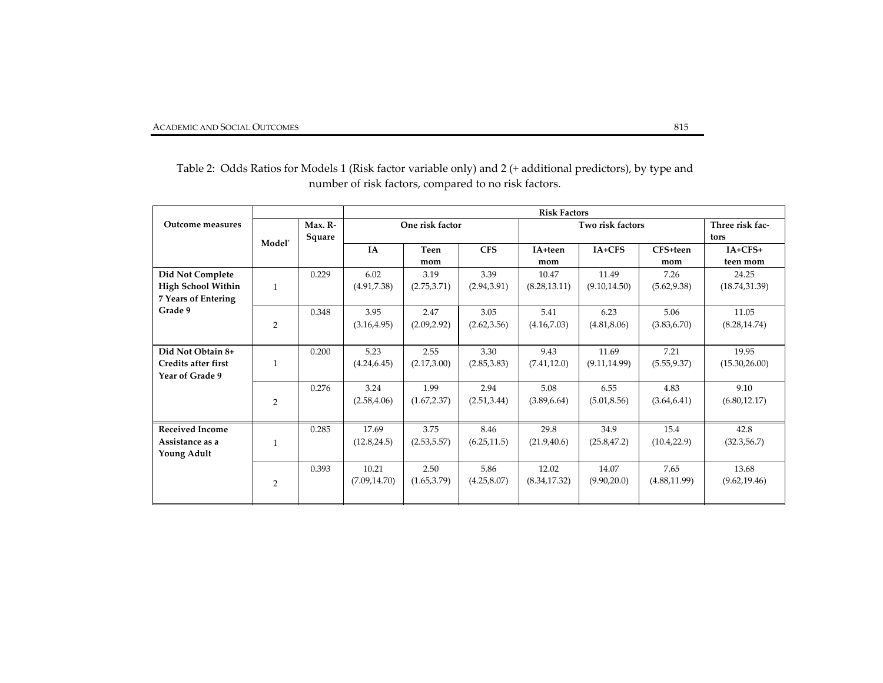|                            |                              |         | <b>Risk Factors</b> |              |              |                  |                 |               |                |
|----------------------------|------------------------------|---------|---------------------|--------------|--------------|------------------|-----------------|---------------|----------------|
| Outcome measures           |                              | Max. R- | One risk factor     |              |              | Two risk factors | Three risk fac- |               |                |
|                            | Square<br>Model <sup>*</sup> |         |                     |              |              |                  | tors            |               |                |
|                            |                              |         | <b>IA</b>           | Teen         | <b>CFS</b>   | IA+teen          | IA+CFS          | CFS+teen      | $IA+CFS+$      |
|                            |                              |         |                     | mom          |              | mom              |                 | mom           | teen mom       |
| Did Not Complete           |                              | 0.229   | 6.02                | 3.19         | 3.39         | 10.47            | 11.49           | 7.26          | 24.25          |
| <b>High School Within</b>  | $\mathbf{1}$                 |         | (4.91, 7.38)        | (2.75, 3.71) | (2.94, 3.91) | (8.28, 13.11)    | (9.10, 14.50)   | (5.62, 9.38)  | (18.74, 31.39) |
| <b>7 Years of Entering</b> |                              |         |                     |              |              |                  |                 |               |                |
| Grade 9                    |                              | 0.348   | 3.95                | 2.47         | 3.05         | 5.41             | 6.23            | 5.06          | 11.05          |
|                            | $\overline{2}$               |         | (3.16, 4.95)        | (2.09, 2.92) | (2.62, 3.56) | (4.16, 7.03)     | (4.81, 8.06)    | (3.83, 6.70)  | (8.28, 14.74)  |
|                            |                              |         |                     |              |              |                  |                 |               |                |
| Did Not Obtain 8+          |                              | 0.200   | 5.23                | 2.55         | 3.30         | 9.43             | 11.69           | 7.21          | 19.95          |
| <b>Credits after first</b> | $\mathbf{1}$                 |         | (4.24, 6.45)        | (2.17, 3.00) | (2.85, 3.83) | (7.41, 12.0)     | (9.11, 14.99)   | (5.55, 9.37)  | (15.30, 26.00) |
| Year of Grade 9            |                              |         |                     |              |              |                  |                 |               |                |
|                            |                              | 0.276   | 3.24                | 1.99         | 2.94         | 5.08             | 6.55            | 4.83          | 9.10           |
|                            | $\overline{2}$               |         | (2.58, 4.06)        | (1.67, 2.37) | (2.51, 3.44) | (3.89, 6.64)     | (5.01, 8.56)    | (3.64, 6.41)  | (6.80, 12.17)  |
|                            |                              |         |                     |              |              |                  |                 |               |                |
| <b>Received Income</b>     |                              | 0.285   | 17.69               | 3.75         | 8.46         | 29.8             | 34.9            | 15.4          | 42.8           |
| Assistance as a            | $\mathbf{1}$                 |         | (12.8, 24.5)        | (2.53, 5.57) | (6.25, 11.5) | (21.9, 40.6)     | (25.8, 47.2)    | (10.4, 22.9)  | (32.3, 56.7)   |
| Young Adult                |                              |         |                     |              |              |                  |                 |               |                |
|                            |                              | 0.393   | 10.21               | 2.50         | 5.86         | 12.02            | 14.07           | 7.65          | 13.68          |
|                            | 2                            |         | (7.09, 14.70)       | (1.65, 3.79) | (4.25, 8.07) | (8.34, 17.32)    | (9.90, 20.0)    | (4.88, 11.99) | (9.62, 19.46)  |
|                            |                              |         |                     |              |              |                  |                 |               |                |

Table 2: Odds Ratios for Models 1 (Risk factor variable only) and <sup>2</sup> (+ additional predictors), by type and number of risk factors, compared to no risk factors.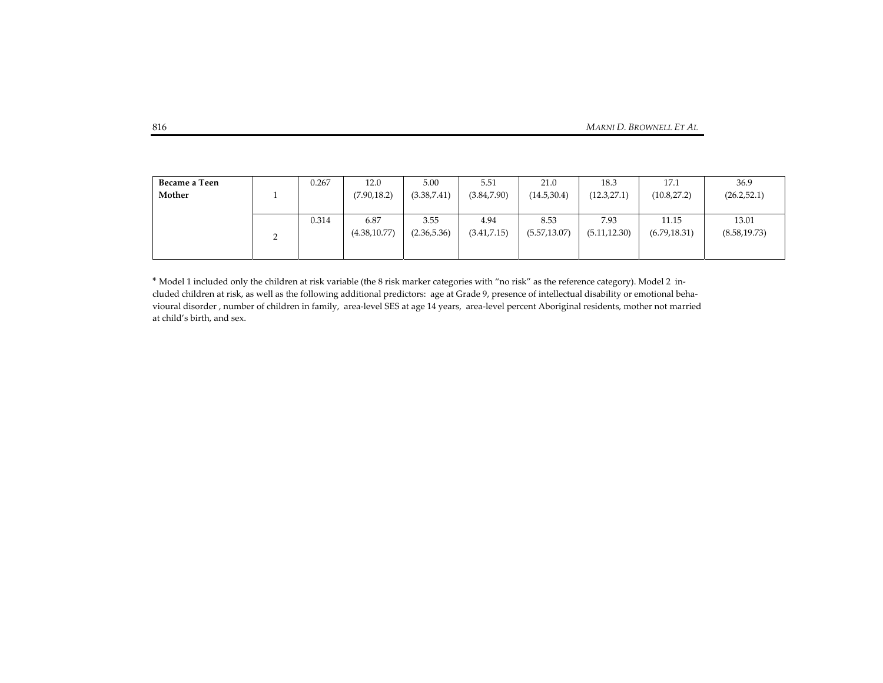| Became a Teen | 0.267 | 12.0                  | 5.00                 | 5.51                 | 21.0                  | 18.3                  | 17.1                   | 36.9                   |
|---------------|-------|-----------------------|----------------------|----------------------|-----------------------|-----------------------|------------------------|------------------------|
| Mother        |       | (7.90, 18.2)          | (3.38, 7.41)         | (3.84, 7.90)         | (14.5, 30.4)          | (12.3, 27.1)          | (10.8, 27.2)           | (26.2, 52.1)           |
|               |       |                       |                      |                      |                       |                       |                        |                        |
|               | 0.314 | 6.87<br>(4.38, 10.77) | 3.55<br>(2.36, 5.36) | 4.94<br>(3.41, 7.15) | 8.53<br>(5.57, 13.07) | 7.93<br>(5.11, 12.30) | 11.15<br>(6.79, 18.31) | 13.01<br>(8.58, 19.73) |

\* Model 1 included only the children at risk variable (the <sup>8</sup> risk marker categories with "no risk" as the reference category). Model <sup>2</sup> in‐ cluded children at risk, as well as the following additional predictors: age at Grade 9, presence of intellectual disability or emotional beha‐ vioural disorder , number of children in family, area‐level SES at age <sup>14</sup> years, area‐level percen<sup>t</sup> Aboriginal residents, mother not married at child's birth, and sex.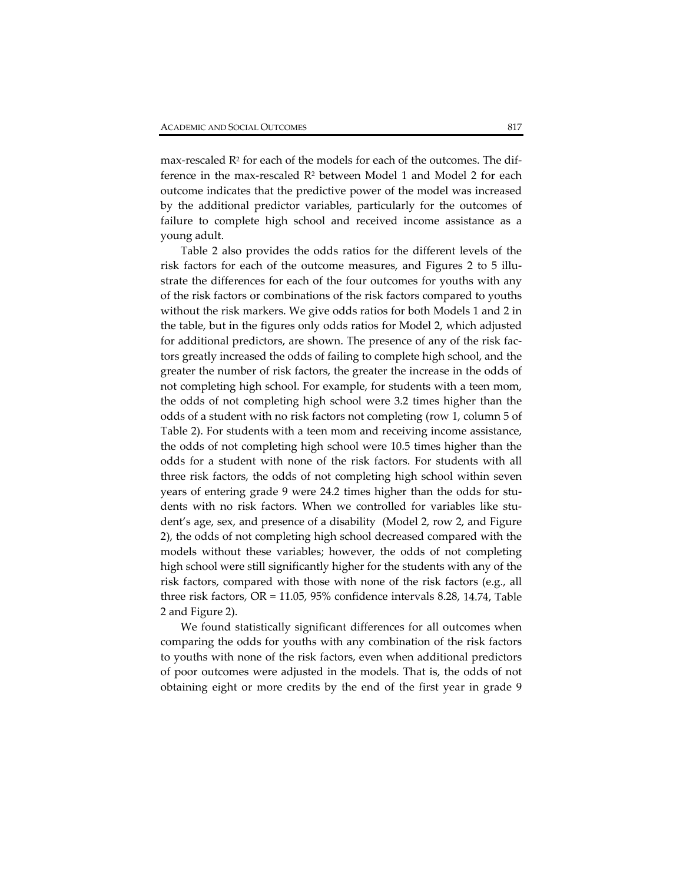max-rescaled  $R<sup>2</sup>$  for each of the models for each of the outcomes. The difference in the max-rescaled  $R<sup>2</sup>$  between Model 1 and Model 2 for each outcome indicates that the predictive power of the model was increased by the additional predictor variables, particularly for the outcomes of failure to complete high school and received income assistance as a young adult.

Table 2 also provides the odds ratios for the different levels of the risk factors for each of the outcome measures, and Figures 2 to 5 illustrate the differences for each of the four outcomes for youths with any of the risk factors or combinations of the risk factors compared to youths without the risk markers. We give odds ratios for both Models 1 and 2 in the table, but in the figures only odds ratios for Model 2, which adjusted for additional predictors, are shown. The presence of any of the risk fac‐ tors greatly increased the odds of failing to complete high school, and the greater the number of risk factors, the greater the increase in the odds of not completing high school. For example, for students with a teen mom, the odds of not completing high school were 3.2 times higher than the odds of a student with no risk factors not completing (row 1, column 5 of Table 2). For students with a teen mom and receiving income assistance, the odds of not completing high school were 10.5 times higher than the odds for a student with none of the risk factors. For students with all three risk factors, the odds of not completing high school within seven years of entering grade 9 were 24.2 times higher than the odds for students with no risk factors. When we controlled for variables like stu‐ dent's age, sex, and presence of a disability (Model 2, row 2, and Figure 2), the odds of not completing high school decreased compared with the models without these variables; however, the odds of not completing high school were still significantly higher for the students with any of the risk factors, compared with those with none of the risk factors (e.g., all three risk factors, OR = 11.05, 95% confidence intervals 8.28, 14.74, Table 2 and Figure 2).

We found statistically significant differences for all outcomes when comparing the odds for youths with any combination of the risk factors to youths with none of the risk factors, even when additional predictors of poor outcomes were adjusted in the models. That is, the odds of not obtaining eight or more credits by the end of the first year in grade 9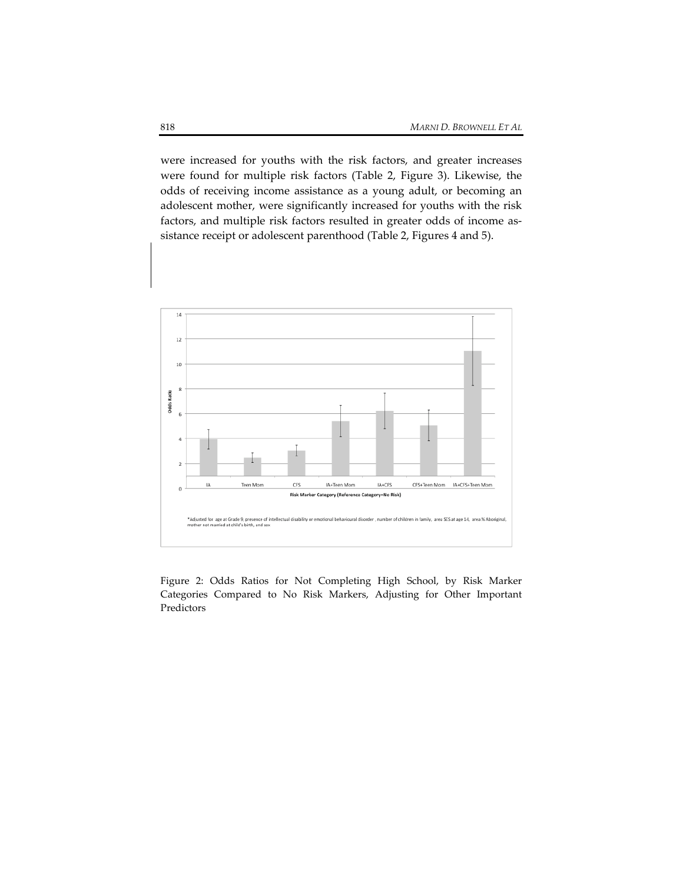were increased for youths with the risk factors, and greater increases were found for multiple risk factors (Table 2, Figure 3). Likewise, the odds of receiving income assistance as a young adult, or becoming an adolescent mother, were significantly increased for youths with the risk factors, and multiple risk factors resulted in greater odds of income assistance receipt or adolescent parenthood (Table 2, Figures 4 and 5).



Figure 2: Odds Ratios for Not Completing High School, by Risk Marker Categories Compared to No Risk Markers, Adjusting for Other Important Predictors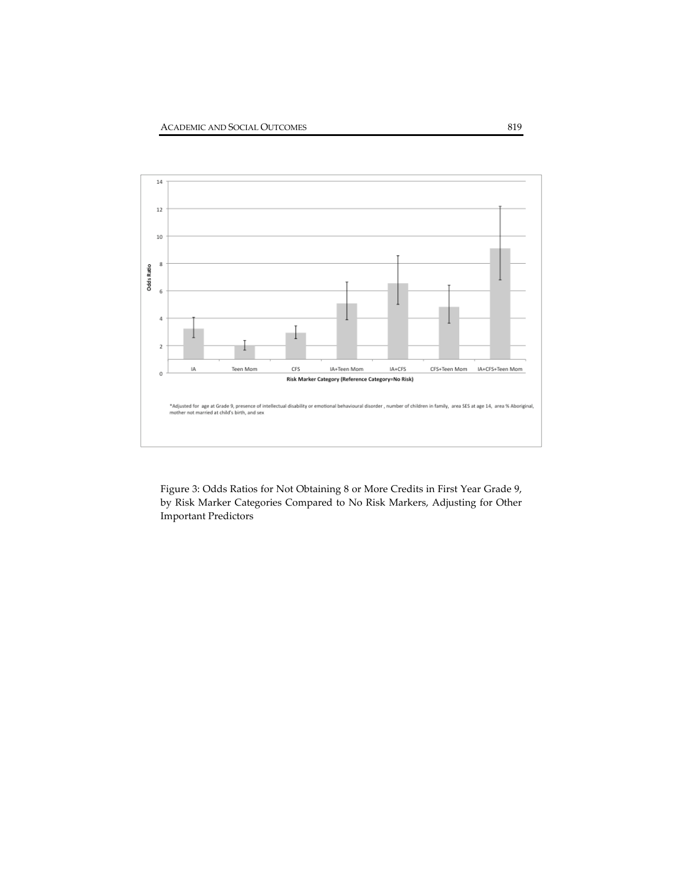

Figure 3: Odds Ratios for Not Obtaining 8 or More Credits in First Year Grade 9, by Risk Marker Categories Compared to No Risk Markers, Adjusting for Other Important Predictors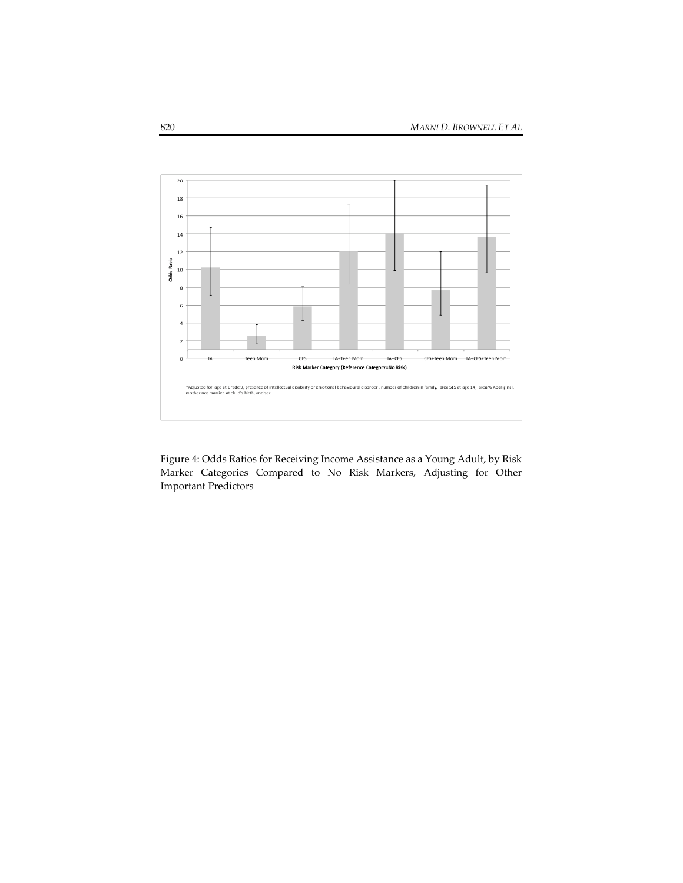

Figure 4: Odds Ratios for Receiving Income Assistance as a Young Adult, by Risk Marker Categories Compared to No Risk Markers, Adjusting for Other Important Predictors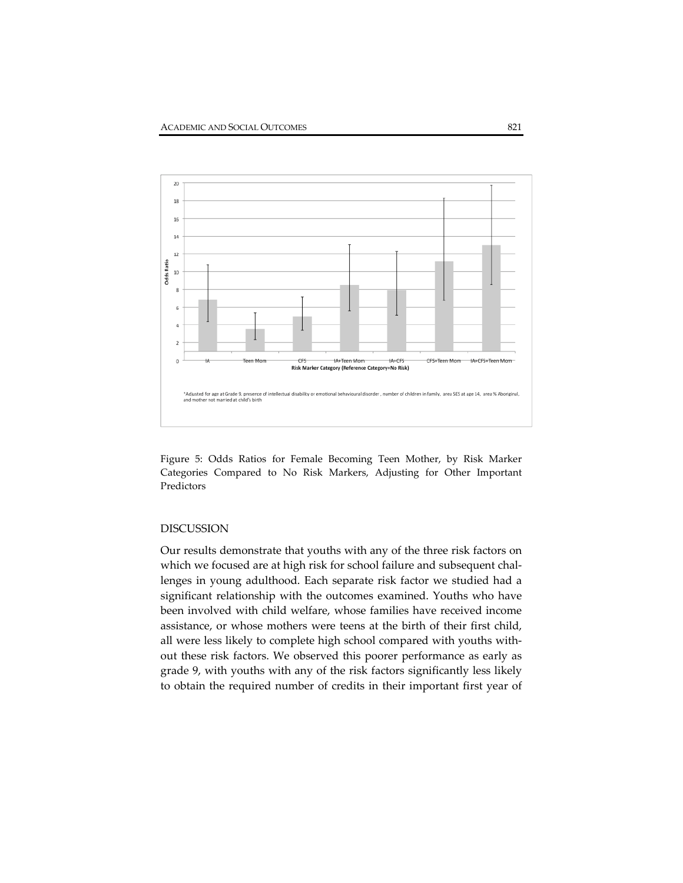

Figure 5: Odds Ratios for Female Becoming Teen Mother, by Risk Marker Categories Compared to No Risk Markers, Adjusting for Other Important Predictors

# DISCUSSION

Our results demonstrate that youths with any of the three risk factors on which we focused are at high risk for school failure and subsequent challenges in young adulthood. Each separate risk factor we studied had a significant relationship with the outcomes examined. Youths who have been involved with child welfare, whose families have received income assistance, or whose mothers were teens at the birth of their first child, all were less likely to complete high school compared with youths with‐ out these risk factors. We observed this poorer performance as early as grade 9, with youths with any of the risk factors significantly less likely to obtain the required number of credits in their important first year of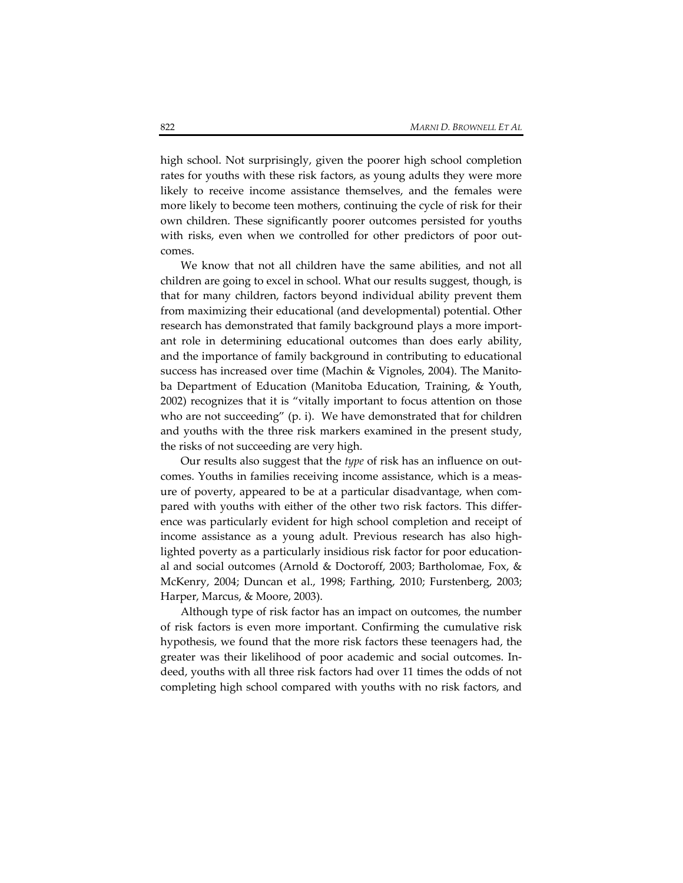high school. Not surprisingly, given the poorer high school completion rates for youths with these risk factors, as young adults they were more likely to receive income assistance themselves, and the females were more likely to become teen mothers, continuing the cycle of risk for their own children. These significantly poorer outcomes persisted for youths with risks, even when we controlled for other predictors of poor outcomes.

We know that not all children have the same abilities, and not all children are going to excel in school. What our results suggest, though, is that for many children, factors beyond individual ability prevent them from maximizing their educational (and developmental) potential. Other research has demonstrated that family background plays a more import‐ ant role in determining educational outcomes than does early ability, and the importance of family background in contributing to educational success has increased over time (Machin & Vignoles, 2004). The Manito‐ ba Department of Education (Manitoba Education, Training, & Youth, 2002) recognizes that it is "vitally important to focus attention on those who are not succeeding" (p. i). We have demonstrated that for children and youths with the three risk markers examined in the present study, the risks of not succeeding are very high.

Our results also suggest that the *type* of risk has an influence on out‐ comes. Youths in families receiving income assistance, which is a measure of poverty, appeared to be at a particular disadvantage, when com‐ pared with youths with either of the other two risk factors. This differ‐ ence was particularly evident for high school completion and receipt of income assistance as a young adult. Previous research has also high‐ lighted poverty as a particularly insidious risk factor for poor education‐ al and social outcomes (Arnold & Doctoroff, 2003; Bartholomae, Fox, & McKenry, 2004; Duncan et al., 1998; Farthing, 2010; Furstenberg, 2003; Harper, Marcus, & Moore, 2003).

Although type of risk factor has an impact on outcomes, the number of risk factors is even more important. Confirming the cumulative risk hypothesis, we found that the more risk factors these teenagers had, the greater was their likelihood of poor academic and social outcomes. In‐ deed, youths with all three risk factors had over 11 times the odds of not completing high school compared with youths with no risk factors, and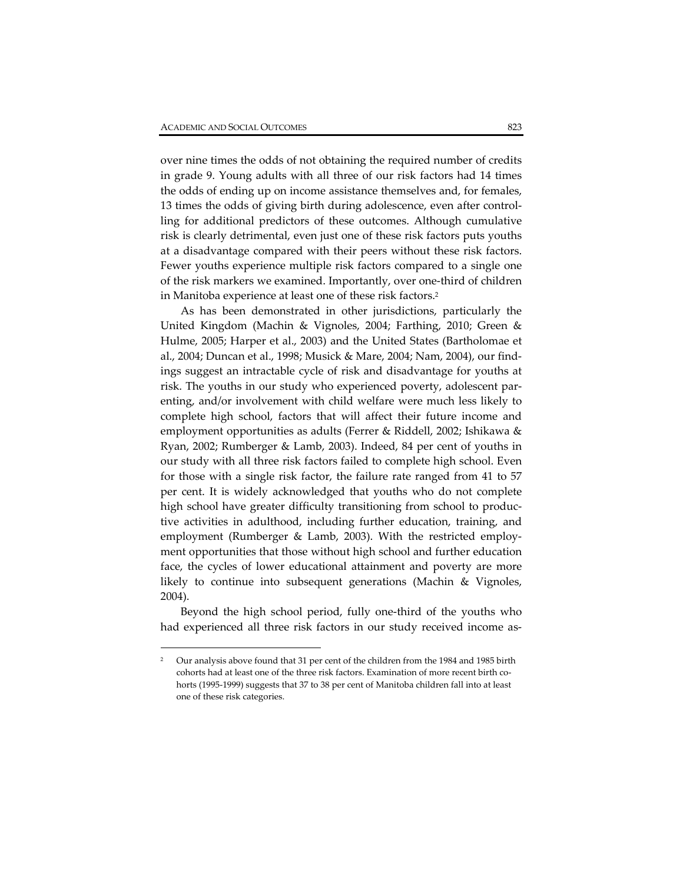$\overline{a}$ 

over nine times the odds of not obtaining the required number of credits in grade 9. Young adults with all three of our risk factors had 14 times the odds of ending up on income assistance themselves and, for females, 13 times the odds of giving birth during adolescence, even after control‐ ling for additional predictors of these outcomes. Although cumulative risk is clearly detrimental, even just one of these risk factors puts youths at a disadvantage compared with their peers without these risk factors. Fewer youths experience multiple risk factors compared to a single one of the risk markers we examined. Importantly, over one‐third of children in Manitoba experience at least one of these risk factors.2

As has been demonstrated in other jurisdictions, particularly the United Kingdom (Machin & Vignoles, 2004; Farthing, 2010; Green & Hulme, 2005; Harper et al., 2003) and the United States (Bartholomae et al., 2004; Duncan et al., 1998; Musick & Mare, 2004; Nam, 2004), our find‐ ings suggest an intractable cycle of risk and disadvantage for youths at risk. The youths in our study who experienced poverty, adolescent par‐ enting, and/or involvement with child welfare were much less likely to complete high school, factors that will affect their future income and employment opportunities as adults (Ferrer & Riddell, 2002; Ishikawa & Ryan, 2002; Rumberger & Lamb, 2003). Indeed, 84 per cent of youths in our study with all three risk factors failed to complete high school. Even for those with a single risk factor, the failure rate ranged from 41 to 57 per cent. It is widely acknowledged that youths who do not complete high school have greater difficulty transitioning from school to produc‐ tive activities in adulthood, including further education, training, and employment (Rumberger & Lamb, 2003). With the restricted employment opportunities that those without high school and further education face, the cycles of lower educational attainment and poverty are more likely to continue into subsequent generations (Machin & Vignoles, 2004).

Beyond the high school period, fully one-third of the youths who had experienced all three risk factors in our study received income as-

<sup>2</sup> Our analysis above found that 31 per cent of the children from the 1984 and 1985 birth cohorts had at least one of the three risk factors. Examination of more recent birth cohorts (1995-1999) suggests that 37 to 38 per cent of Manitoba children fall into at least one of these risk categories.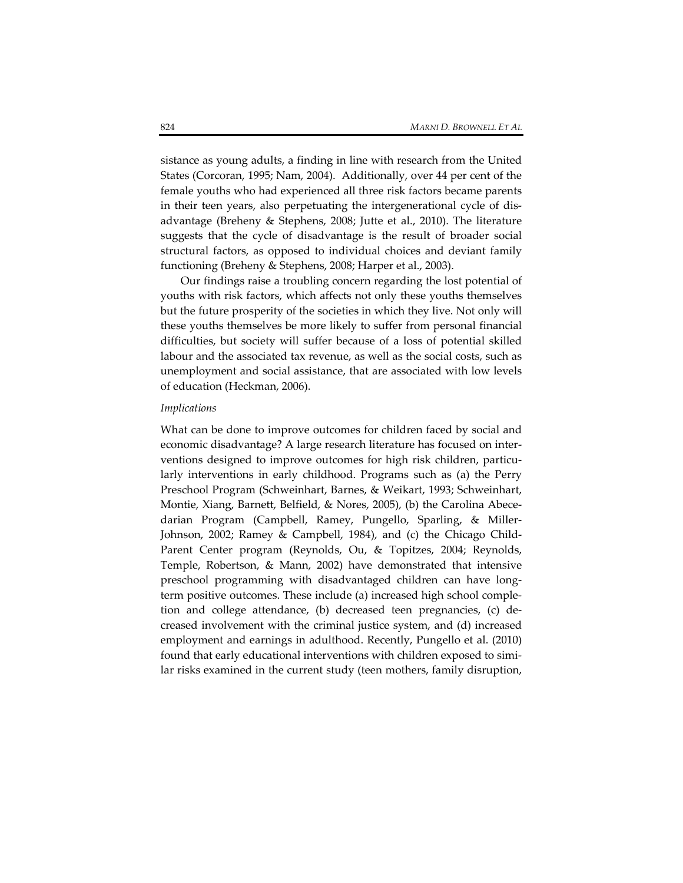sistance as young adults, a finding in line with research from the United States (Corcoran, 1995; Nam, 2004). Additionally, over 44 per cent of the female youths who had experienced all three risk factors became parents in their teen years, also perpetuating the intergenerational cycle of dis‐ advantage (Breheny & Stephens, 2008; Jutte et al., 2010). The literature suggests that the cycle of disadvantage is the result of broader social structural factors, as opposed to individual choices and deviant family functioning (Breheny & Stephens, 2008; Harper et al., 2003).

Our findings raise a troubling concern regarding the lost potential of youths with risk factors, which affects not only these youths themselves but the future prosperity of the societies in which they live. Not only will these youths themselves be more likely to suffer from personal financial difficulties, but society will suffer because of a loss of potential skilled labour and the associated tax revenue, as well as the social costs, such as unemployment and social assistance, that are associated with low levels of education (Heckman, 2006).

#### *Implications*

What can be done to improve outcomes for children faced by social and economic disadvantage? A large research literature has focused on inter‐ ventions designed to improve outcomes for high risk children, particularly interventions in early childhood. Programs such as (a) the Perry Preschool Program (Schweinhart, Barnes, & Weikart, 1993; Schweinhart, Montie, Xiang, Barnett, Belfield, & Nores, 2005), (b) the Carolina Abecedarian Program (Campbell, Ramey, Pungello, Sparling, & Miller‐ Johnson, 2002; Ramey & Campbell, 1984), and (c) the Chicago Child‐ Parent Center program (Reynolds, Ou, & Topitzes, 2004; Reynolds, Temple, Robertson, & Mann, 2002) have demonstrated that intensive preschool programming with disadvantaged children can have long‐ term positive outcomes. These include (a) increased high school comple‐ tion and college attendance, (b) decreased teen pregnancies, (c) de‐ creased involvement with the criminal justice system, and (d) increased employment and earnings in adulthood. Recently, Pungello et al. (2010) found that early educational interventions with children exposed to similar risks examined in the current study (teen mothers, family disruption,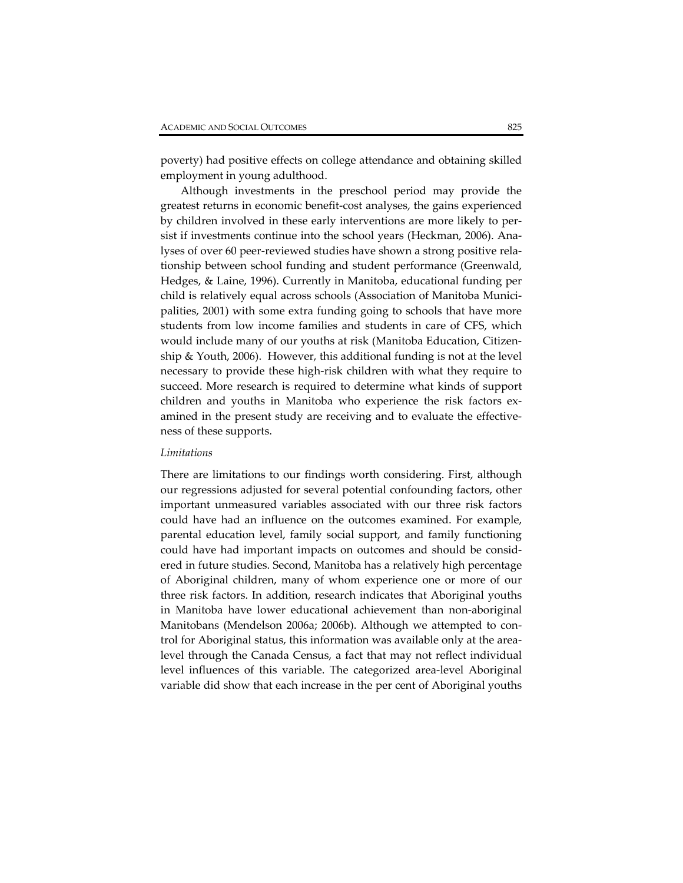poverty) had positive effects on college attendance and obtaining skilled employment in young adulthood.

Although investments in the preschool period may provide the greatest returns in economic benefit‐cost analyses, the gains experienced by children involved in these early interventions are more likely to per‐ sist if investments continue into the school years (Heckman, 2006). Ana‐ lyses of over 60 peer-reviewed studies have shown a strong positive relationship between school funding and student performance (Greenwald, Hedges, & Laine, 1996). Currently in Manitoba, educational funding per child is relatively equal across schools (Association of Manitoba Munici‐ palities, 2001) with some extra funding going to schools that have more students from low income families and students in care of CFS, which would include many of our youths at risk (Manitoba Education, Citizen‐ ship & Youth, 2006). However, this additional funding is not at the level necessary to provide these high‐risk children with what they require to succeed. More research is required to determine what kinds of support children and youths in Manitoba who experience the risk factors examined in the present study are receiving and to evaluate the effectiveness of these supports.

#### *Limitations*

There are limitations to our findings worth considering. First, although our regressions adjusted for several potential confounding factors, other important unmeasured variables associated with our three risk factors could have had an influence on the outcomes examined. For example, parental education level, family social support, and family functioning could have had important impacts on outcomes and should be consid‐ ered in future studies. Second, Manitoba has a relatively high percentage of Aboriginal children, many of whom experience one or more of our three risk factors. In addition, research indicates that Aboriginal youths in Manitoba have lower educational achievement than non‐aboriginal Manitobans (Mendelson 2006a; 2006b). Although we attempted to control for Aboriginal status, this information was available only at the area‐ level through the Canada Census, a fact that may not reflect individual level influences of this variable. The categorized area‐level Aboriginal variable did show that each increase in the per cent of Aboriginal youths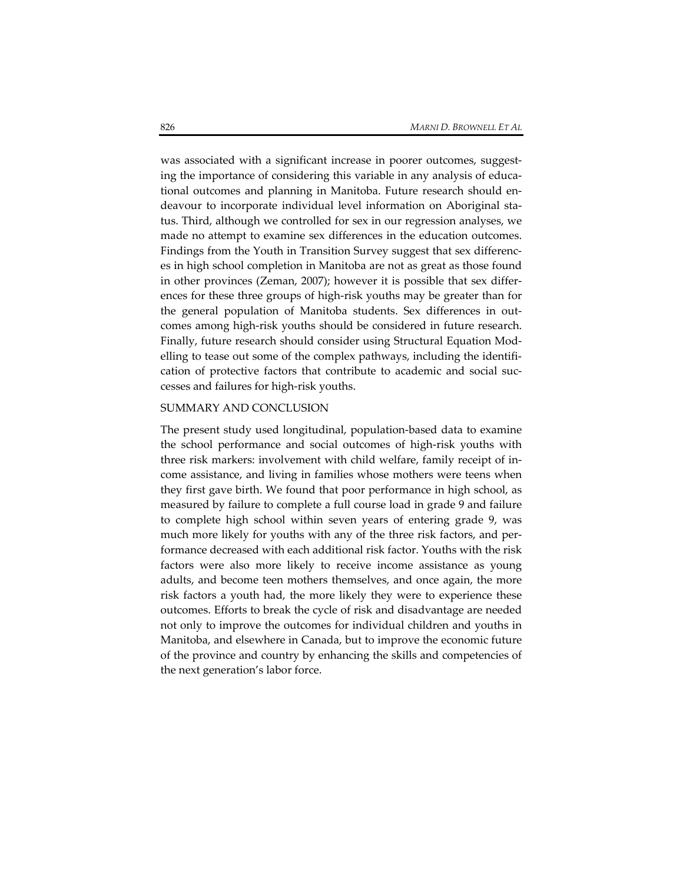was associated with a significant increase in poorer outcomes, suggesting the importance of considering this variable in any analysis of educational outcomes and planning in Manitoba. Future research should endeavour to incorporate individual level information on Aboriginal sta‐ tus. Third, although we controlled for sex in our regression analyses, we made no attempt to examine sex differences in the education outcomes. Findings from the Youth in Transition Survey suggest that sex differenc‐ es in high school completion in Manitoba are not as great as those found in other provinces (Zeman, 2007); however it is possible that sex differ‐ ences for these three groups of high‐risk youths may be greater than for the general population of Manitoba students. Sex differences in out‐ comes among high‐risk youths should be considered in future research. Finally, future research should consider using Structural Equation Mod‐ elling to tease out some of the complex pathways, including the identification of protective factors that contribute to academic and social suc‐ cesses and failures for high‐risk youths.

## SUMMARY AND CONCLUSION

The present study used longitudinal, population‐based data to examine the school performance and social outcomes of high‐risk youths with three risk markers: involvement with child welfare, family receipt of in‐ come assistance, and living in families whose mothers were teens when they first gave birth. We found that poor performance in high school, as measured by failure to complete a full course load in grade 9 and failure to complete high school within seven years of entering grade 9, was much more likely for youths with any of the three risk factors, and performance decreased with each additional risk factor. Youths with the risk factors were also more likely to receive income assistance as young adults, and become teen mothers themselves, and once again, the more risk factors a youth had, the more likely they were to experience these outcomes. Efforts to break the cycle of risk and disadvantage are needed not only to improve the outcomes for individual children and youths in Manitoba, and elsewhere in Canada, but to improve the economic future of the province and country by enhancing the skills and competencies of the next generation's labor force.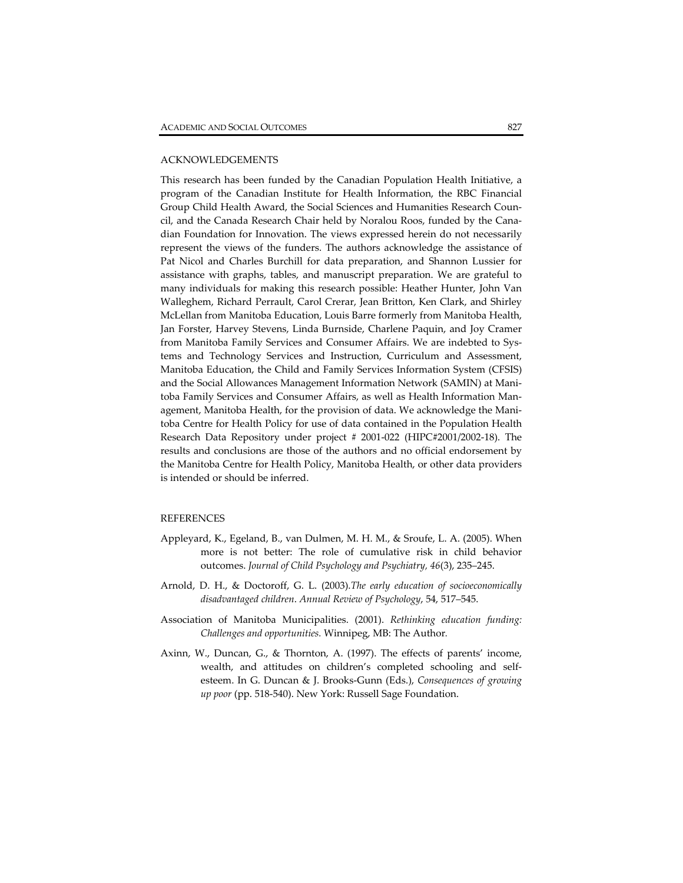## ACKNOWLEDGEMENTS

This research has been funded by the Canadian Population Health Initiative, a program of the Canadian Institute for Health Information, the RBC Financial Group Child Health Award, the Social Sciences and Humanities Research Coun‐ cil, and the Canada Research Chair held by Noralou Roos, funded by the Cana‐ dian Foundation for Innovation. The views expressed herein do not necessarily represent the views of the funders. The authors acknowledge the assistance of Pat Nicol and Charles Burchill for data preparation, and Shannon Lussier for assistance with graphs, tables, and manuscript preparation. We are grateful to many individuals for making this research possible: Heather Hunter, John Van Walleghem, Richard Perrault, Carol Crerar, Jean Britton, Ken Clark, and Shirley McLellan from Manitoba Education, Louis Barre formerly from Manitoba Health, Jan Forster, Harvey Stevens, Linda Burnside, Charlene Paquin, and Joy Cramer from Manitoba Family Services and Consumer Affairs. We are indebted to Systems and Technology Services and Instruction, Curriculum and Assessment, Manitoba Education, the Child and Family Services Information System (CFSIS) and the Social Allowances Management Information Network (SAMIN) at Mani‐ toba Family Services and Consumer Affairs, as well as Health Information Man‐ agement, Manitoba Health, for the provision of data. We acknowledge the Manitoba Centre for Health Policy for use of data contained in the Population Health Research Data Repository under project # 2001‐022 (HIPC#2001/2002‐18). The results and conclusions are those of the authors and no official endorsement by the Manitoba Centre for Health Policy, Manitoba Health, or other data providers is intended or should be inferred.

## REFERENCES

- Appleyard, K., Egeland, B., van Dulmen, M. H. M., & Sroufe, L. A. (2005). When more is not better: The role of cumulative risk in child behavior outcomes. *Journal of Child Psychology and Psychiatry, 46*(3), 235–245.
- Arnold, D. H., & Doctoroff, G. L. (2003).*The early education of socioeconomically disadvantaged children*. *Annual Review of Psychology*, 54, 517–545.
- Association of Manitoba Municipalities. (2001). *Rethinking education funding: Challenges and opportunities.* Winnipeg, MB: The Author*.*
- Axinn, W., Duncan, G., & Thornton, A. (1997). The effects of parents' income, wealth, and attitudes on children's completed schooling and selfesteem. In G. Duncan & J. Brooks‐Gunn (Eds.), *Consequences of growing up poor* (pp. 518‐540). New York: Russell Sage Foundation.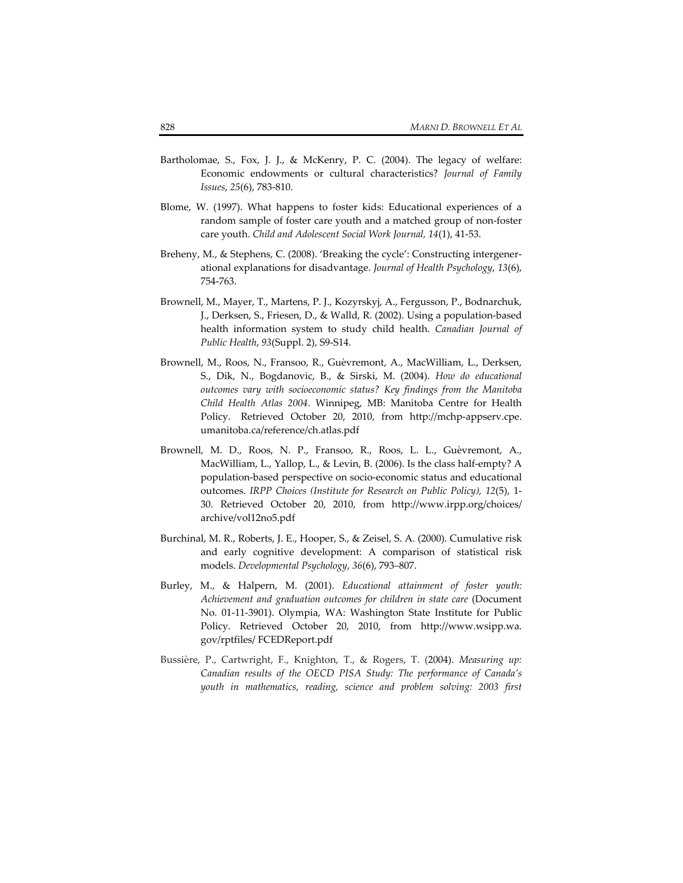- Bartholomae, S., Fox, J. J., & McKenry, P. C. (2004). The legacy of welfare: Economic endowments or cultural characteristics? *Journal of Family Issues*, *25*(6), 783‐810.
- Blome, W. (1997). What happens to foster kids: Educational experiences of a random sample of foster care youth and a matched group of non‐foster care youth. *Child and Adolescent Social Work Journal, 14*(1), 41‐53.
- Breheny, M., & Stephens, C. (2008). 'Breaking the cycle': Constructing intergener‐ ational explanations for disadvantage. *Journal of Health Psychology*, *13*(6), 754‐763.
- Brownell, M., Mayer, T., Martens, P. J., Kozyrskyj, A., Fergusson, P., Bodnarchuk, J., Derksen, S., Friesen, D., & Walld, R. (2002). Using a population‐based health information system to study child health. *Canadian Journal of Public Health*, *93*(Suppl. 2), S9‐S14.
- Brownell, M., Roos, N., Fransoo, R., Guèvremont, A., MacWilliam, L., Derksen, S., Dik, N., Bogdanovic, B., & Sirski, M. (2004). *How do educational outcomes vary with socioeconomic status? Key findings from the Manitoba Child Health Atlas 2004*. Winnipeg, MB: Manitoba Centre for Health Policy. Retrieved October 20, 2010, from http://mchp‐appserv.cpe. umanitoba.ca/reference/ch.atlas.pdf
- Brownell, M. D., Roos, N. P., Fransoo, R., Roos, L. L., Guèvremont, A., MacWilliam, L., Yallop, L., & Levin, B. (2006). Is the class half‐empty? A population‐based perspective on socio‐economic status and educational outcomes. *IRPP Choices (Institute for Research on Public Policy), 12*(5), 1‐ 30. Retrieved October 20, 2010, from http://www.irpp.org/choices/ archive/vol12no5.pdf
- Burchinal, M. R., Roberts, J. E., Hooper, S., & Zeisel, S. A. (2000). Cumulative risk and early cognitive development: A comparison of statistical risk models. *Developmental Psychology*, *36*(6), 793–807.
- Burley, M., & Halpern, M. (2001). *Educational attainment of foster youth: Achievement and graduation outcomes for children in state care* (Document No. 01‐11‐3901). Olympia, WA: Washington State Institute for Public Policy. Retrieved October 20, 2010, from http://www.wsipp.wa. gov/rptfiles/ FCEDReport.pdf
- Bussière, P., Cartwright, F., Knighton, T., & Rogers, T. (2004). *Measuring up: Canadian results of the OECD PISA Study: The performance of Canada's youth in mathematics, reading, science and problem solving: 2003 first*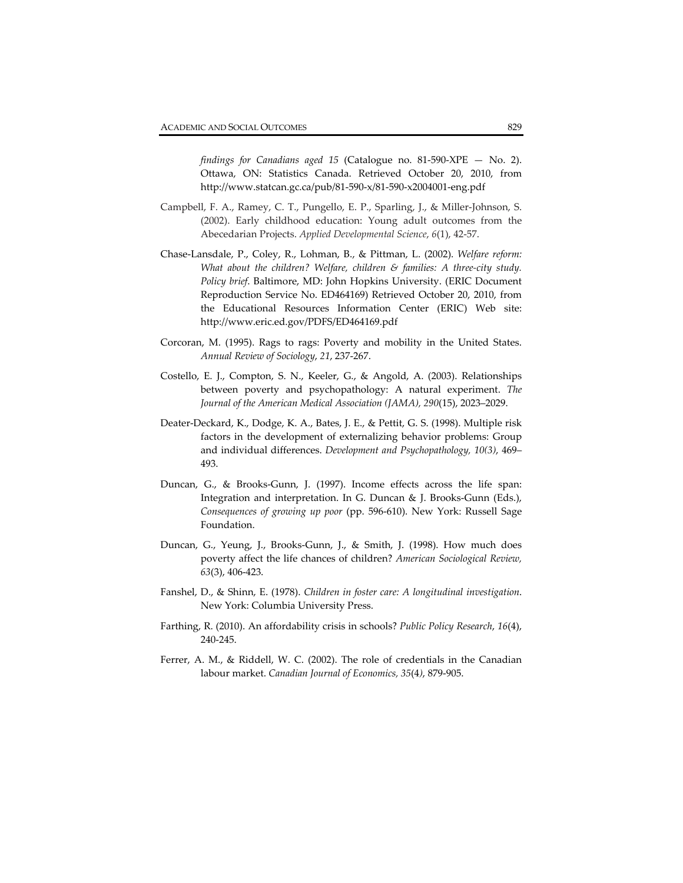*findings for Canadians aged 15* (Catalogue no. 81‐590‐XPE — No. 2). Ottawa, ON: Statistics Canada. Retrieved October 20, 2010, from http://www.statcan.gc.ca/pub/81‐590‐x/81‐590‐x2004001‐eng.pdf

- Campbell, F. A., Ramey, C. T., Pungello, E. P., Sparling, J., & Miller‐Johnson, S. (2002). Early childhood education: Young adult outcomes from the Abecedarian Projects. *Applied Developmental Science*, *6*(1), 42‐57.
- Chase‐Lansdale, P., Coley, R., Lohman, B., & Pittman, L. (2002). *Welfare reform: What about the children? Welfare, children & families: A three‐city study. Policy brief*. Baltimore, MD: John Hopkins University. (ERIC Document Reproduction Service No. ED464169) Retrieved October 20, 2010, from the Educational Resources Information Center (ERIC) Web site: http://www.eric.ed.gov/PDFS/ED464169.pdf
- Corcoran, M. (1995). Rags to rags: Poverty and mobility in the United States. *Annual Review of Sociology*, *21*, 237‐267.
- Costello, E. J., Compton, S. N., Keeler, G., & Angold, A. (2003). Relationships between poverty and psychopathology: A natural experiment. *The Journal of the American Medical Association (JAMA), 290*(15), 2023–2029.
- Deater‐Deckard, K., Dodge, K. A., Bates, J. E., & Pettit, G. S. (1998). Multiple risk factors in the development of externalizing behavior problems: Group and individual differences. *Development and Psychopathology, 10(3)*, 469– 493.
- Duncan, G., & Brooks‐Gunn, J. (1997). Income effects across the life span: Integration and interpretation. In G. Duncan & J. Brooks‐Gunn (Eds.), *Consequences of growing up poor* (pp. 596‐610). New York: Russell Sage Foundation.
- Duncan, G., Yeung, J., Brooks‐Gunn, J., & Smith, J. (1998). How much does poverty affect the life chances of children? *American Sociological Review, 63*(3), 406‐423.
- Fanshel, D., & Shinn, E. (1978). *Children in foster care: A longitudinal investigation*. New York: Columbia University Press.
- Farthing, R. (2010). An affordability crisis in schools? *Public Policy Research*, *16*(4), 240‐245.
- Ferrer, A. M., & Riddell, W. C. (2002). The role of credentials in the Canadian labour market. *Canadian Journal of Economics, 35*(4*)*, 879‐905.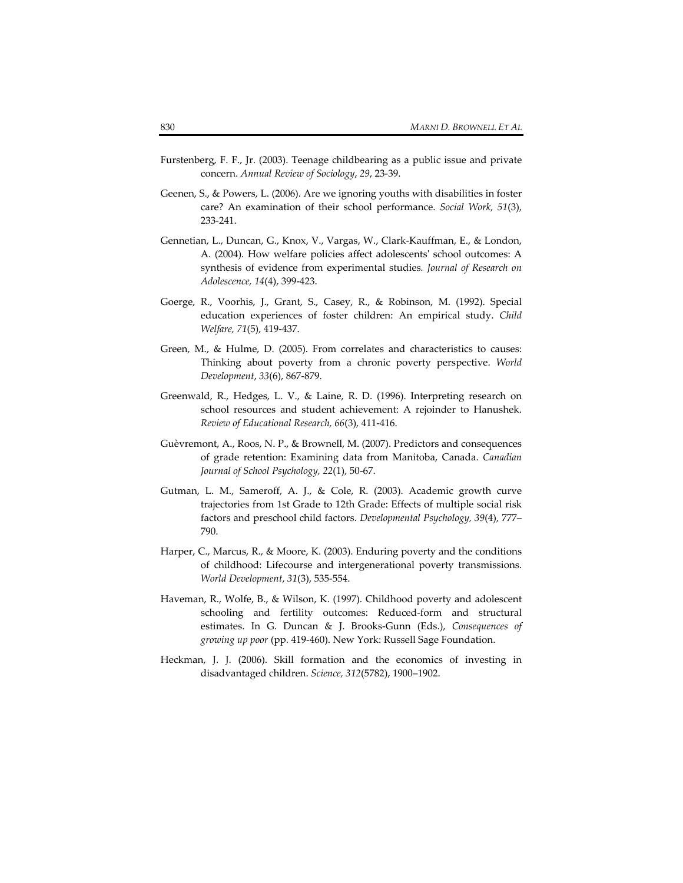- Furstenberg, F. F., Jr. (2003). Teenage childbearing as a public issue and private concern. *Annual Review of Sociology*, *29*, 23‐39.
- Geenen, S., & Powers, L. (2006). Are we ignoring youths with disabilities in foster care? An examination of their school performance. *Social Work, 51*(3), 233‐241.
- Gennetian, L., Duncan, G., Knox, V., Vargas, W., Clark‐Kauffman, E., & London, A. (2004). How welfare policies affect adolescentsʹ school outcomes: A synthesis of evidence from experimental studies*. Journal of Research on Adolescence, 14*(4), 399‐423.
- Goerge, R., Voorhis, J., Grant, S., Casey, R., & Robinson, M. (1992). Special education experiences of foster children: An empirical study. *Child Welfare, 71*(5), 419‐437.
- Green, M., & Hulme, D. (2005). From correlates and characteristics to causes: Thinking about poverty from a chronic poverty perspective. *World Development*, *33*(6), 867‐879.
- Greenwald, R., Hedges, L. V., & Laine, R. D. (1996). Interpreting research on school resources and student achievement: A rejoinder to Hanushek. *Review of Educational Research, 66*(3), 411‐416.
- Guèvremont, A., Roos, N. P., & Brownell, M. (2007). Predictors and consequences of grade retention: Examining data from Manitoba, Canada. *Canadian Journal of School Psychology, 22*(1), 50‐67.
- Gutman, L. M., Sameroff, A. J., & Cole, R. (2003). Academic growth curve trajectories from 1st Grade to 12th Grade: Effects of multiple social risk factors and preschool child factors. *Developmental Psychology, 39*(4), 777– 790.
- Harper, C., Marcus, R., & Moore, K. (2003). Enduring poverty and the conditions of childhood: Lifecourse and intergenerational poverty transmissions. *World Development*, *31*(3), 535‐554.
- Haveman, R., Wolfe, B., & Wilson, K. (1997). Childhood poverty and adolescent schooling and fertility outcomes: Reduced-form and structural estimates. In G. Duncan & J. Brooks‐Gunn (Eds.), *Consequences of growing up poor* (pp. 419‐460). New York: Russell Sage Foundation.
- Heckman, J. J. (2006). Skill formation and the economics of investing in disadvantaged children. *Science, 312*(5782), 1900–1902.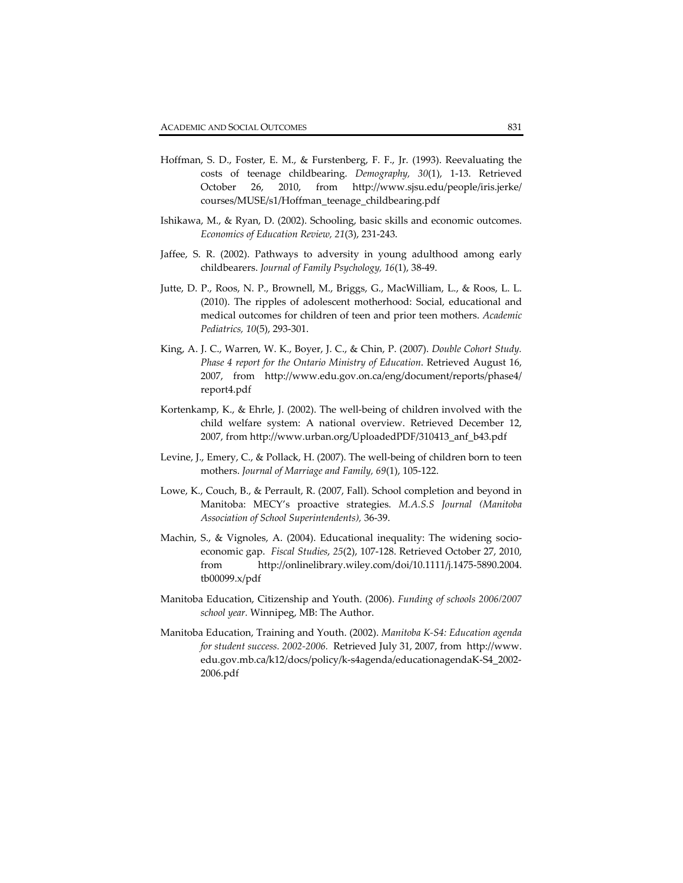- Hoffman, S. D., Foster, E. M., & Furstenberg, F. F., Jr. (1993). Reevaluating the costs of teenage childbearing. *Demography, 30*(1), 1‐13. Retrieved October 26, 2010, from http://www.sjsu.edu/people/iris.jerke/ courses/MUSE/s1/Hoffman\_teenage\_childbearing.pdf
- Ishikawa, M., & Ryan, D. (2002). Schooling, basic skills and economic outcomes. *Economics of Education Review, 21*(3), 231‐243.
- Jaffee, S. R. (2002). Pathways to adversity in young adulthood among early childbearers. *Journal of Family Psychology, 16*(1), 38‐49.
- Jutte, D. P., Roos, N. P., Brownell, M., Briggs, G., MacWilliam, L., & Roos, L. L. (2010). The ripples of adolescent motherhood: Social, educational and medical outcomes for children of teen and prior teen mothers. *Academic Pediatrics, 10*(5), 293‐301.
- King, A. J. C., Warren, W. K., Boyer, J. C., & Chin, P. (2007). *Double Cohort Study. Phase 4 report for the Ontario Ministry of Education*. Retrieved August 16, 2007, from http://www.edu.gov.on.ca/eng/document/reports/phase4/ report4.pdf
- Kortenkamp, K., & Ehrle, J. (2002). The well-being of children involved with the child welfare system: A national overview. Retrieved December 12, 2007, from http://www.urban.org/UploadedPDF/310413\_anf\_b43.pdf
- Levine, J., Emery, C., & Pollack, H. (2007). The well‐being of children born to teen mothers. *Journal of Marriage and Family, 69*(1), 105‐122.
- Lowe, K., Couch, B., & Perrault, R. (2007, Fall). School completion and beyond in Manitoba: MECY's proactive strategies. *M.A.S.S Journal (Manitoba Association of School Superintendents),* 36‐39.
- Machin, S., & Vignoles, A. (2004). Educational inequality: The widening socioeconomic gap. *Fiscal Studies*, *25*(2), 107‐128. Retrieved October 27, 2010, from http://onlinelibrary.wiley.com/doi/10.1111/j.1475‐5890.2004. tb00099.x/pdf
- Manitoba Education, Citizenship and Youth. (2006). *Funding of schools 2006/2007 school year.* Winnipeg, MB: The Author.
- Manitoba Education, Training and Youth. (2002). *Manitoba K‐S4: Education agenda for student success. 2002‐2006.* Retrieved July 31, 2007, from http://www. edu.gov.mb.ca/k12/docs/policy/k‐s4agenda/educationagendaK‐S4\_2002‐ 2006.pdf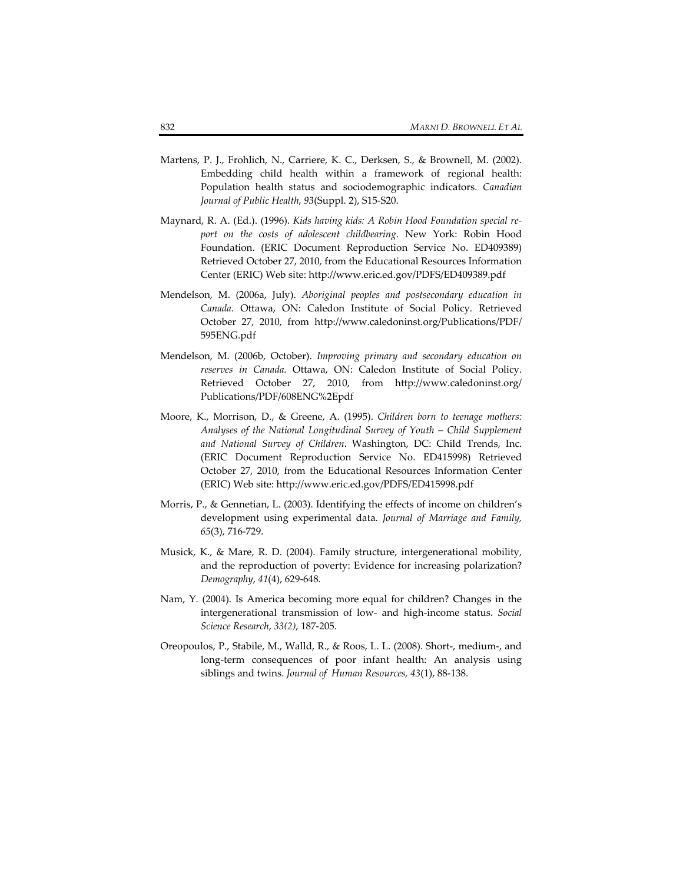- Martens, P. J., Frohlich, N., Carriere, K. C., Derksen, S., & Brownell, M. (2002). Embedding child health within a framework of regional health: Population health status and sociodemographic indicators. *Canadian Journal of Public Health*, *93*(Suppl. 2), S15‐S20.
- Maynard, R. A. (Ed.). (1996). *Kids having kids: A Robin Hood Foundation special re‐ port on the costs of adolescent childbearing*. New York: Robin Hood Foundation. (ERIC Document Reproduction Service No. ED409389) Retrieved October 27, 2010, from the Educational Resources Information Center (ERIC) Web site: http://www.eric.ed.gov/PDFS/ED409389.pdf
- Mendelson, M. (2006a, July). *Aboriginal peoples and postsecondary education in Canada.* Ottawa, ON: Caledon Institute of Social Policy. Retrieved October 27, 2010, from http://www.caledoninst.org/Publications/PDF/ 595ENG.pdf
- Mendelson, M. (2006b, October). *Improving primary and secondary education on reserves in Canada.* Ottawa, ON: Caledon Institute of Social Policy. Retrieved October 27, 2010, from http://www.caledoninst.org/ Publications/PDF/608ENG%2Epdf
- Moore, K., Morrison, D., & Greene, A. (1995). *Children born to teenage mothers: Analyses of the National Longitudinal Survey of Youth – Child Supplement and National Survey of Children*. Washington, DC: Child Trends, Inc. (ERIC Document Reproduction Service No. ED415998) Retrieved October 27, 2010, from the Educational Resources Information Center (ERIC) Web site: http://www.eric.ed.gov/PDFS/ED415998.pdf
- Morris, P., & Gennetian, L. (2003). Identifying the effects of income on children's development using experimental data. *Journal of Marriage and Family, 65*(3), 716‐729.
- Musick, K., & Mare, R. D. (2004). Family structure, intergenerational mobility, and the reproduction of poverty: Evidence for increasing polarization? *Demography*, *41*(4), 629‐648.
- Nam, Y. (2004). Is America becoming more equal for children? Changes in the intergenerational transmission of low‐ and high‐income status. *Social Science Research*, *33(2)*, 187‐205.
- Oreopoulos, P., Stabile, M., Walld, R., & Roos, L. L. (2008). Short‐, medium‐, and long‐term consequences of poor infant health: An analysis using siblings and twins. *Journal of Human Resources, 43*(1), 88‐138.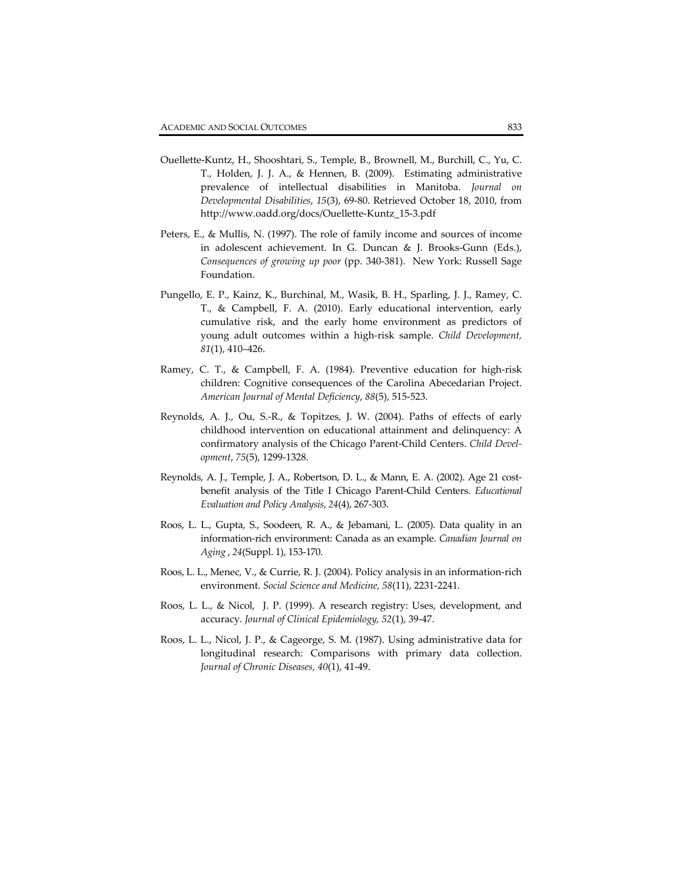- Ouellette‐Kuntz, H., Shooshtari, S., Temple, B., Brownell, M., Burchill, C., Yu, C. T., Holden, J. J. A., & Hennen, B. (2009). Estimating administrative prevalence of intellectual disabilities in Manitoba. *Journal on Developmental Disabilities*, *15*(3), 69‐80. Retrieved October 18, 2010, from http://www.oadd.org/docs/Ouellette‐Kuntz\_15‐3.pdf
- Peters, E., & Mullis, N. (1997). The role of family income and sources of income in adolescent achievement. In G. Duncan & J. Brooks‐Gunn (Eds.), *Consequences of growing up poor* (pp. 340‐381). New York: Russell Sage Foundation.
- Pungello, E. P., Kainz, K., Burchinal, M., Wasik, B. H., Sparling, J. J., Ramey, C. T., & Campbell, F. A. (2010). Early educational intervention, early cumulative risk, and the early home environment as predictors of young adult outcomes within a high‐risk sample. *Child Development, 81*(1), 410–426.
- Ramey, C. T., & Campbell, F. A. (1984). Preventive education for high‐risk children: Cognitive consequences of the Carolina Abecedarian Project. *American Journal of Mental Deficiency*, *88*(5), 515‐523.
- Reynolds, A. J., Ou, S.‐R., & Topitzes, J. W. (2004). Paths of effects of early childhood intervention on educational attainment and delinquency: A confirmatory analysis of the Chicago Parent‐Child Centers. *Child Devel‐ opment*, *75*(5), 1299‐1328.
- Reynolds, A. J., Temple, J. A., Robertson, D. L., & Mann, E. A. (2002). Age 21 costbenefit analysis of the Title I Chicago Parent‐Child Centers. *Educational Evaluation and Policy Analysis*, *24*(4), 267‐303.
- Roos, L. L., Gupta, S., Soodeen, R. A., & Jebamani, L. (2005). Data quality in an information‐rich environment: Canada as an example. *Canadian Journal on Aging* , *24*(Suppl. 1), 153‐170.
- Roos, L. L., Menec, V., & Currie, R. J. (2004). Policy analysis in an information‐rich environment. *Social Science and Medicine, 58*(11), 2231‐2241.
- Roos, L. L., & Nicol, J. P. (1999). A research registry: Uses, development, and accuracy. *Journal of Clinical Epidemiology, 52*(1), 39‐47.
- Roos, L. L., Nicol, J. P., & Cageorge, S. M. (1987). Using administrative data for longitudinal research: Comparisons with primary data collection. *Journal of Chronic Diseases, 40*(1), 41‐49.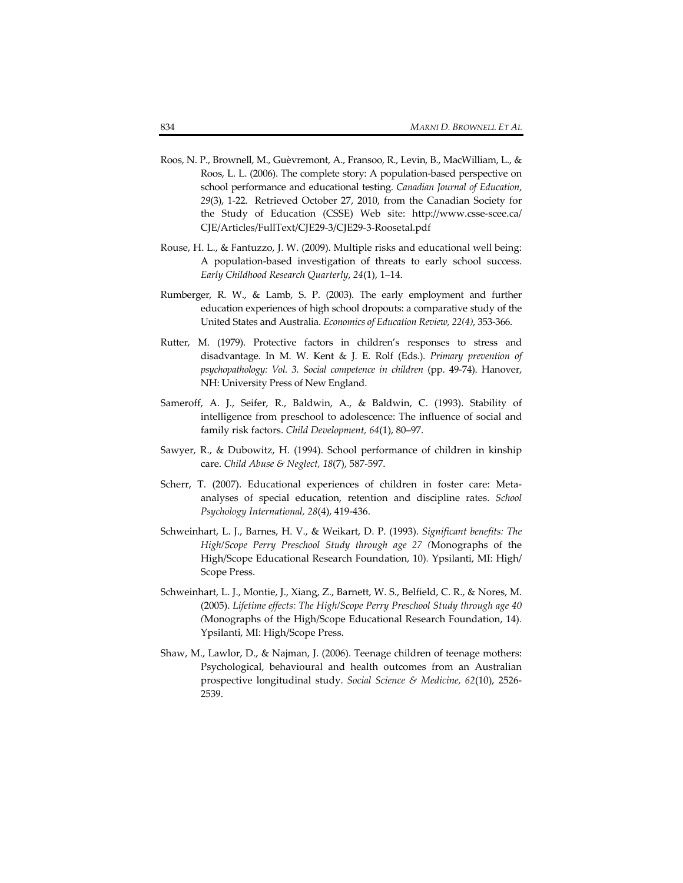- Roos, N. P., Brownell, M., Guèvremont, A., Fransoo, R., Levin, B., MacWilliam, L., & Roos, L. L. (2006). The complete story: A population‐based perspective on school performance and educational testing. *Canadian Journal of Education*, *29*(3), 1‐22. Retrieved October 27, 2010, from the Canadian Society for the Study of Education (CSSE) Web site: http://www.csse-scee.ca/ CJE/Articles/FullText/CJE29‐3/CJE29‐3‐Roosetal.pdf
- Rouse, H. L., & Fantuzzo, J. W. (2009). Multiple risks and educational well being: A population‐based investigation of threats to early school success. *Early Childhood Research Quarterly*, *24*(1), 1–14.
- Rumberger, R. W., & Lamb, S. P. (2003). The early employment and further education experiences of high school dropouts: a comparative study of the United States and Australia. *Economics of Education Review, 22(4)*, 353‐366.
- Rutter, M. (1979). Protective factors in children's responses to stress and disadvantage. In M. W. Kent & J. E. Rolf (Eds.). *Primary prevention of psychopathology: Vol. 3. Social competence in children* (pp. 49‐74). Hanover, NH: University Press of New England.
- Sameroff, A. J., Seifer, R., Baldwin, A., & Baldwin, C. (1993). Stability of intelligence from preschool to adolescence: The influence of social and family risk factors. *Child Development, 64*(1), 80–97.
- Sawyer, R., & Dubowitz, H. (1994). School performance of children in kinship care. *Child Abuse & Neglect, 18*(7), 587‐597.
- Scherr, T. (2007). Educational experiences of children in foster care: Metaanalyses of special education, retention and discipline rates. *School Psychology International, 28*(4), 419‐436.
- Schweinhart, L. J., Barnes, H. V., & Weikart, D. P. (1993). *Significant benefits: The High/Scope Perry Preschool Study through age 27 (*Monographs of the High/Scope Educational Research Foundation, 10)*.* Ypsilanti, MI: High/ Scope Press.
- Schweinhart, L. J., Montie, J., Xiang, Z., Barnett, W. S., Belfield, C. R., & Nores, M. (2005). *Lifetime effects: The High/Scope Perry Preschool Study through age 40 (*Monographs of the High/Scope Educational Research Foundation, 14)*.* Ypsilanti, MI: High/Scope Press.
- Shaw, M., Lawlor, D., & Najman, J. (2006). Teenage children of teenage mothers: Psychological, behavioural and health outcomes from an Australian prospective longitudinal study. *Social Science & Medicine, 62*(10), 2526‐ 2539.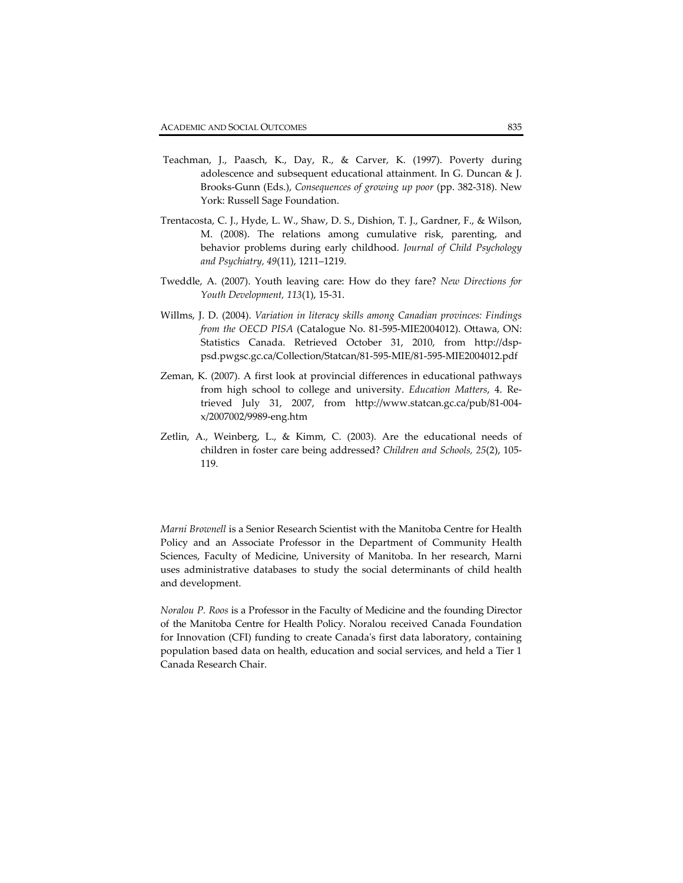- Teachman, J., Paasch, K., Day, R., & Carver, K. (1997). Poverty during adolescence and subsequent educational attainment. In G. Duncan & J. Brooks‐Gunn (Eds.), *Consequences of growing up poor* (pp. 382‐318). New York: Russell Sage Foundation.
- Trentacosta, C. J., Hyde, L. W., Shaw, D. S., Dishion, T. J., Gardner, F., & Wilson, M. (2008). The relations among cumulative risk, parenting, and behavior problems during early childhood. *Journal of Child Psychology and Psychiatry, 49*(11), 1211–1219.
- Tweddle, A. (2007). Youth leaving care: How do they fare? *New Directions for Youth Development, 113*(1), 15‐31.
- Willms, J. D. (2004). *Variation in literacy skills among Canadian provinces: Findings from the OECD PISA* (Catalogue No. 81‐595‐MIE2004012). Ottawa, ON: Statistics Canada. Retrieved October 31, 2010, from http://dsppsd.pwgsc.gc.ca/Collection/Statcan/81‐595‐MIE/81‐595‐MIE2004012.pdf
- Zeman, K. (2007). A first look at provincial differences in educational pathways from high school to college and university. *Education Matters*, 4. Re‐ trieved July 31, 2007, from http://www.statcan.gc.ca/pub/81‐004‐ x/2007002/9989‐eng.htm
- Zetlin, A., Weinberg, L., & Kimm, C. (2003). Are the educational needs of children in foster care being addressed? *Children and Schools, 25*(2), 105‐ 119.

*Marni Brownell* is a Senior Research Scientist with the Manitoba Centre for Health Policy and an Associate Professor in the Department of Community Health Sciences, Faculty of Medicine, University of Manitoba. In her research, Marni uses administrative databases to study the social determinants of child health and development.

*Noralou P. Roos* is a Professor in the Faculty of Medicine and the founding Director of the Manitoba Centre for Health Policy. Noralou received Canada Foundation for Innovation (CFI) funding to create Canadaʹs first data laboratory, containing population based data on health, education and social services, and held a Tier 1 Canada Research Chair.